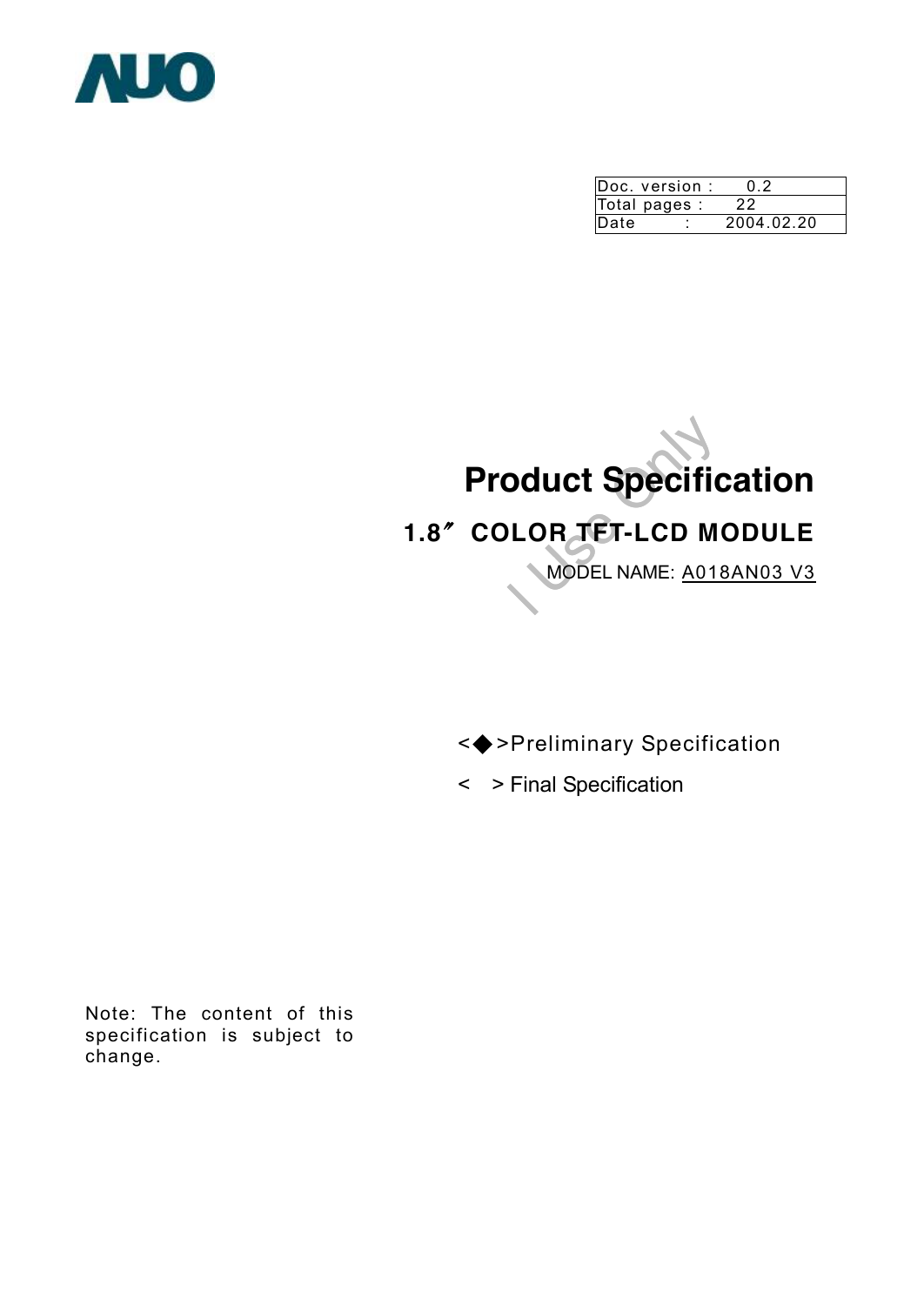

|      | Doc. version : | 02         |
|------|----------------|------------|
|      | Total pages :  | 22         |
| Date |                | 2004.02.20 |

# **Specific<br>OR TET-LCD M<br>MODEL NAME: A018 Product Specification**

# **1.8〞COLOR TFT-LCD MODULE**

lMODEL NAME: A018AN03 V3

<◆>Preliminary Specification

< > Final Specification

Note: The content of this specification is subject to change.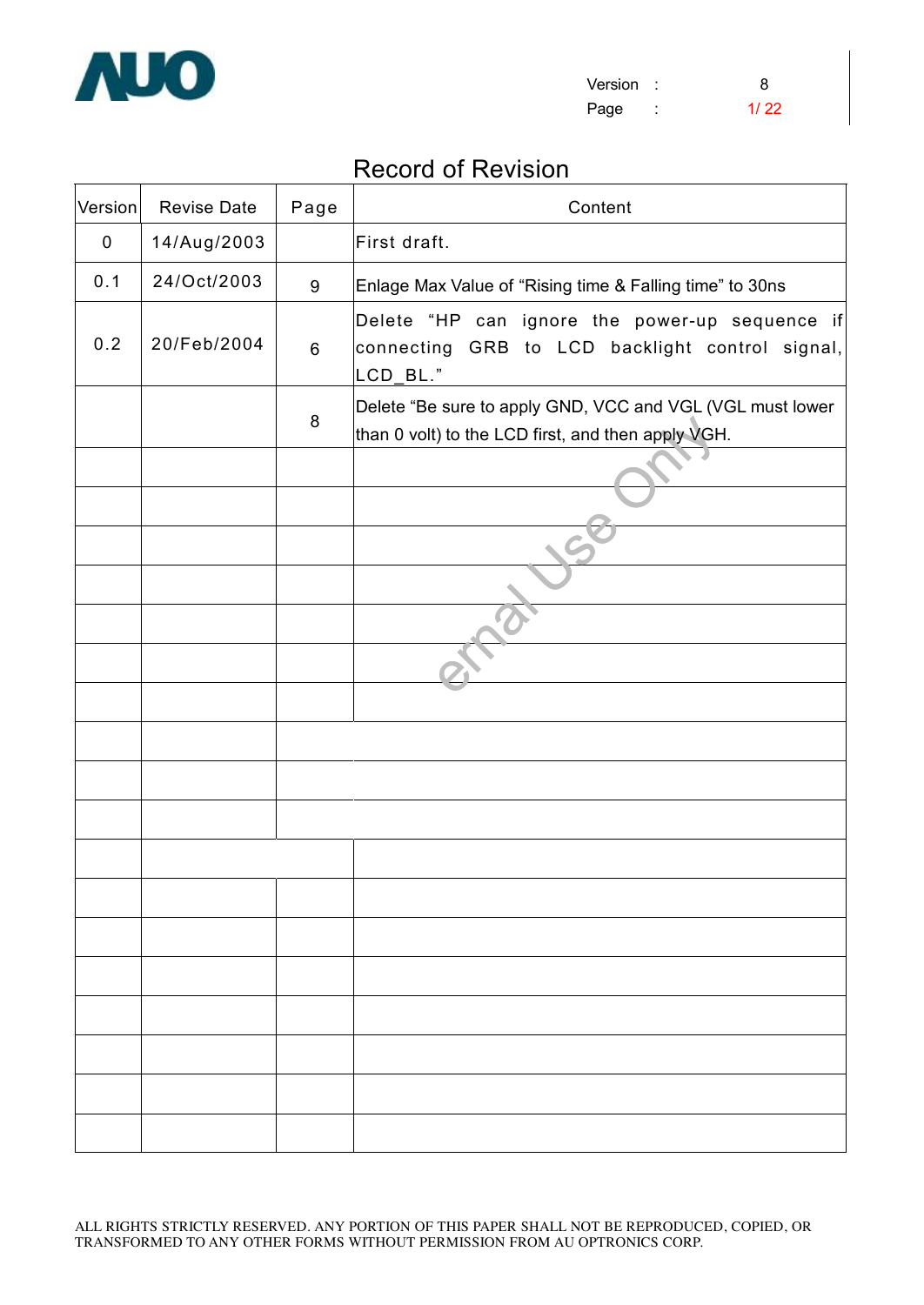

## Record of Revision

| Version     | <b>Revise Date</b> | Page             | Content                                                                                                         |
|-------------|--------------------|------------------|-----------------------------------------------------------------------------------------------------------------|
| $\mathbf 0$ | 14/Aug/2003        |                  | First draft.                                                                                                    |
| 0.1         | 24/Oct/2003        | $\boldsymbol{9}$ | Enlage Max Value of "Rising time & Falling time" to 30ns                                                        |
| 0.2         | 20/Feb/2004        | $\,6\,$          | Delete "HP can ignore the power-up sequence if<br>connecting GRB to LCD backlight control signal,<br>LCD_BL."   |
|             |                    | 8                | Delete "Be sure to apply GND, VCC and VGL (VGL must lower<br>than 0 volt) to the LCD first, and then apply VGH. |
|             |                    |                  |                                                                                                                 |
|             |                    |                  |                                                                                                                 |
|             |                    |                  |                                                                                                                 |
|             |                    |                  |                                                                                                                 |
|             |                    |                  |                                                                                                                 |
|             |                    |                  |                                                                                                                 |
|             |                    |                  |                                                                                                                 |
|             |                    |                  |                                                                                                                 |
|             |                    |                  |                                                                                                                 |
|             |                    |                  |                                                                                                                 |
|             |                    |                  |                                                                                                                 |
|             |                    |                  |                                                                                                                 |
|             |                    |                  |                                                                                                                 |
|             |                    |                  |                                                                                                                 |
|             |                    |                  |                                                                                                                 |
|             |                    |                  |                                                                                                                 |
|             |                    |                  |                                                                                                                 |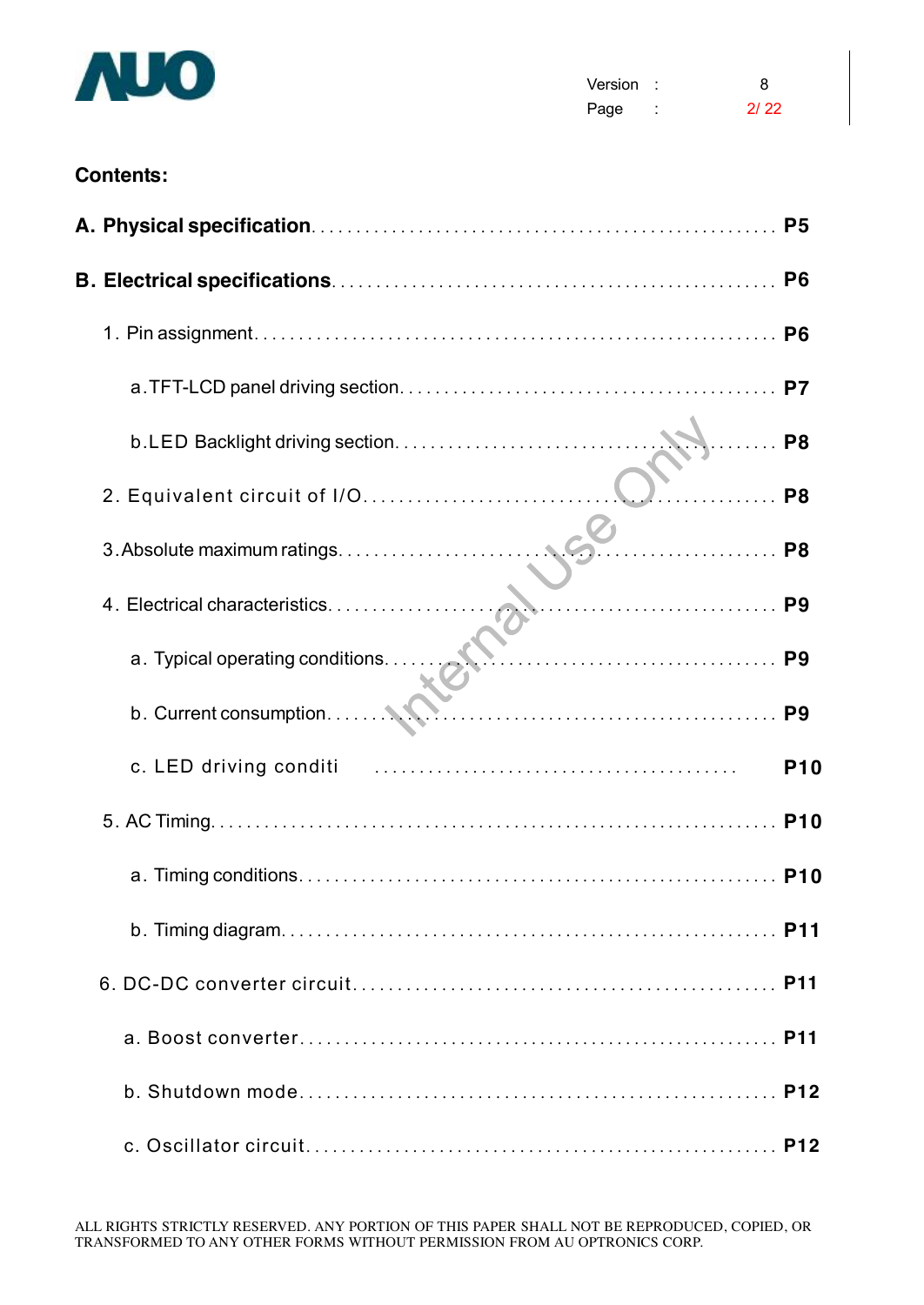

Version : 8 Page : 2/ 22

### **Contents:**

|      | <b>P5</b>      |
|------|----------------|
|      |                |
|      |                |
|      |                |
|      | P <sub>8</sub> |
| . P8 |                |
|      |                |
|      |                |
|      |                |
|      |                |
|      | <b>P10</b>     |
|      |                |
|      |                |
|      |                |
|      |                |
|      |                |
|      |                |
|      |                |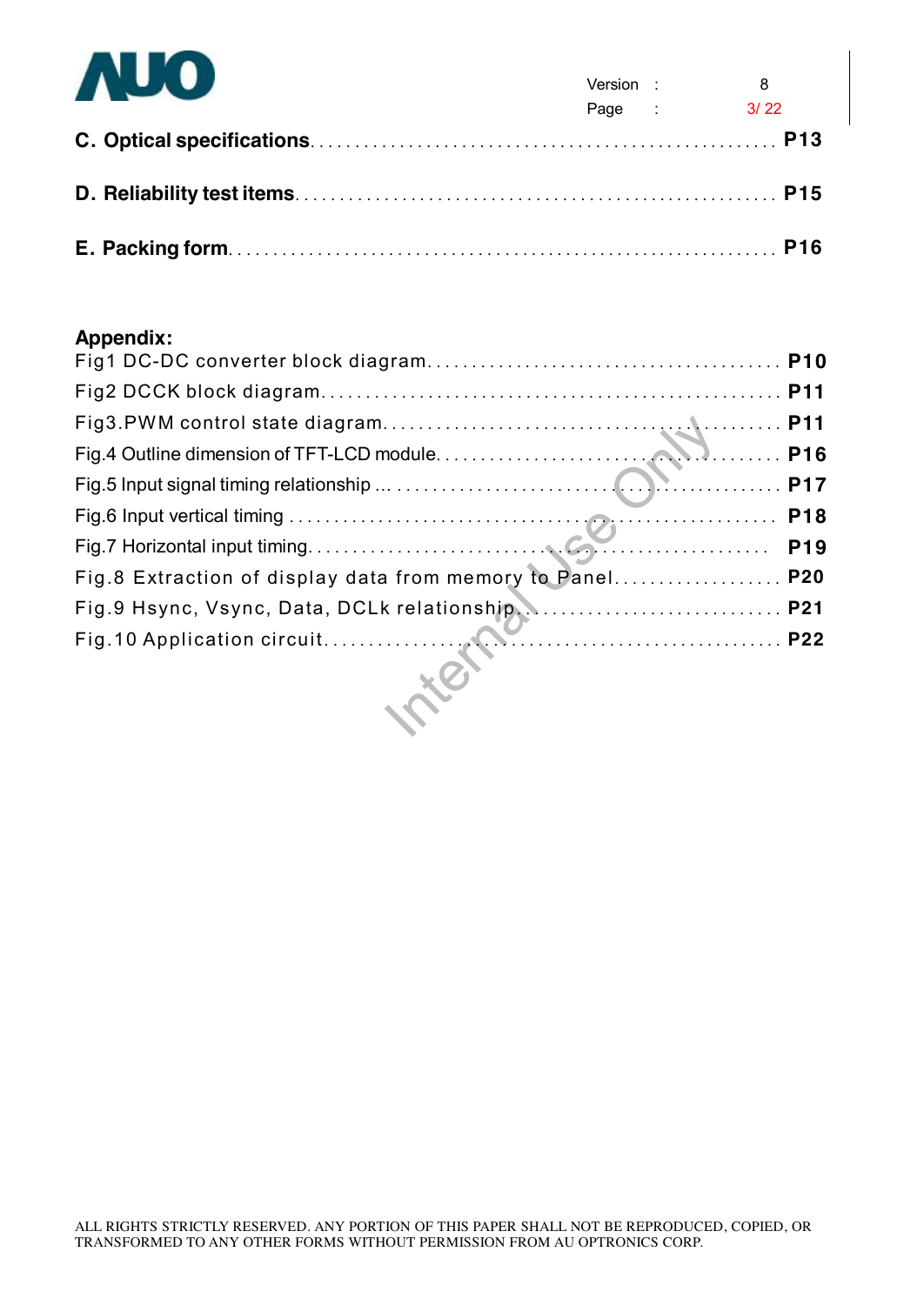

| <b>IVUU</b> | Version : |      |
|-------------|-----------|------|
|             | Page :    | 3/22 |
|             |           |      |
|             |           |      |
|             |           |      |

### **Appendix:**

| Fig.8 Extraction of display data from memory to Panel P20 |  |
|-----------------------------------------------------------|--|
| Fig.9 Hsync, Vsync, Data, DCLk relationship  P21          |  |
|                                                           |  |
|                                                           |  |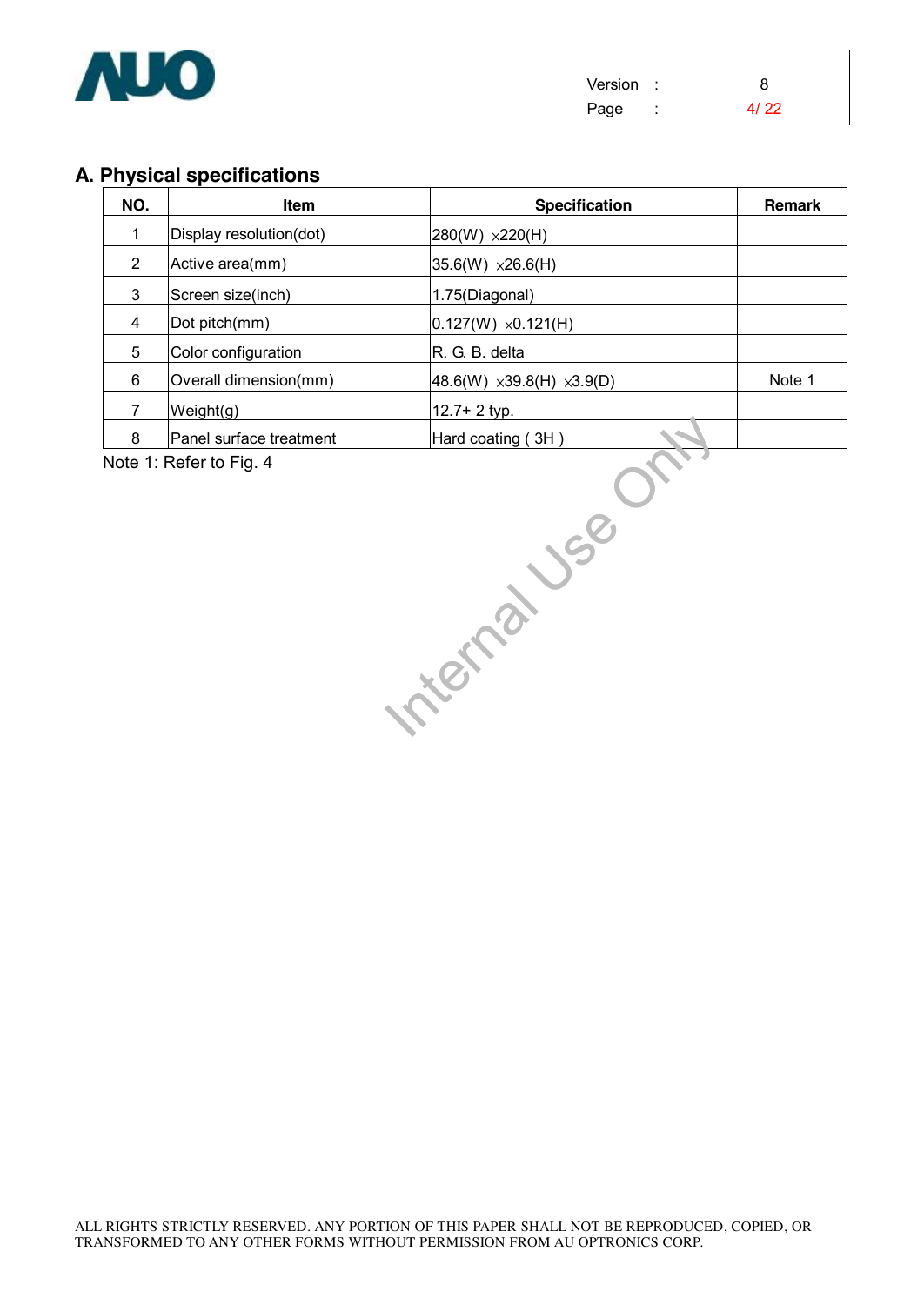

| Version |   | 8    |
|---------|---|------|
| Page    | ٠ | 4/22 |

#### **A. Physical specifications**

| NO.            | <b>Item</b>             | <b>Specification</b>                     | <b>Remark</b> |
|----------------|-------------------------|------------------------------------------|---------------|
| 1              | Display resolution(dot) | $ 280(W) \times 220(H) $                 |               |
| 2              | Active area(mm)         | $35.6(W) \times 26.6(H)$                 |               |
| 3              | Screen size(inch)       | 1.75(Diagonal)                           |               |
| $\overline{4}$ | Dot pitch(mm)           | $ 0.127(W) \times 0.121(H) $             |               |
| 5              | Color configuration     | R. G. B. delta                           |               |
| 6              | Overall dimension(mm)   | $ 48.6(W) \times 39.8(H) \times 3.9(D) $ | Note 1        |
|                | Weight(g)               | 12.7 $\pm$ 2 typ.                        |               |
| 8              | Panel surface treatment | Hard coating(3H)                         |               |

Note 1: Refer to Fig. 4

Hard coating (3H)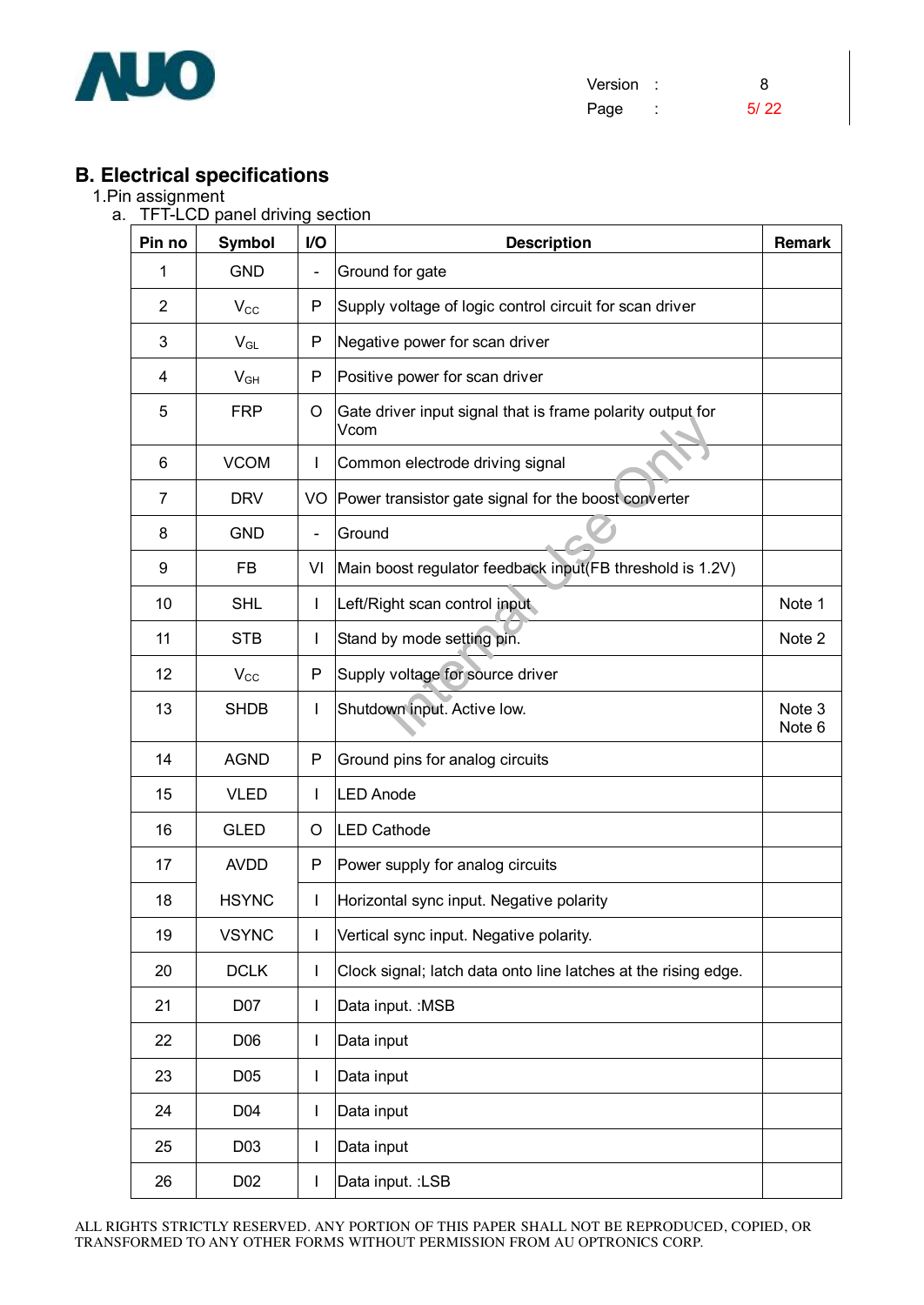

| Version | 8    |
|---------|------|
| Page    | 5/22 |

#### **B. Electrical specifications**

#### 1.Pin assignment

a. TFT-LCD panel driving section

| Pin no         | <b>Symbol</b>   | I/O            | <b>Description</b>                                                 | <b>Remark</b>    |
|----------------|-----------------|----------------|--------------------------------------------------------------------|------------------|
| 1              | <b>GND</b>      |                | Ground for gate                                                    |                  |
| $\overline{2}$ | $V_{\rm CC}$    | P              | Supply voltage of logic control circuit for scan driver            |                  |
| 3              | $V_{GL}$        | P              | Negative power for scan driver                                     |                  |
| 4              | $V_{GH}$        | P              | Positive power for scan driver                                     |                  |
| 5              | <b>FRP</b>      | O              | Gate driver input signal that is frame polarity output for<br>Vcom |                  |
| 6              | <b>VCOM</b>     |                | Common electrode driving signal                                    |                  |
| $\overline{7}$ | <b>DRV</b>      | VO             | Power transistor gate signal for the boost converter               |                  |
| 8              | <b>GND</b>      | $\blacksquare$ | Ground                                                             |                  |
| 9              | <b>FB</b>       | VI             | Main boost regulator feedback input(FB threshold is 1.2V)          |                  |
| 10             | <b>SHL</b>      | L              | Left/Right scan control input                                      | Note 1           |
| 11             | <b>STB</b>      | I.             | Stand by mode setting pin.                                         | Note 2           |
| 12             | $V_{\rm CC}$    | P              | Supply voltage for source driver                                   |                  |
| 13             | <b>SHDB</b>     |                | Shutdown input. Active low.                                        | Note 3<br>Note 6 |
| 14             | <b>AGND</b>     | P              | Ground pins for analog circuits                                    |                  |
| 15             | <b>VLED</b>     |                | <b>LED Anode</b>                                                   |                  |
| 16             | <b>GLED</b>     | O              | <b>LED Cathode</b>                                                 |                  |
| 17             | <b>AVDD</b>     | P              | Power supply for analog circuits                                   |                  |
| 18             | <b>HSYNC</b>    |                | Horizontal sync input. Negative polarity                           |                  |
| 19             | <b>VSYNC</b>    |                | Vertical sync input. Negative polarity.                            |                  |
| 20             | <b>DCLK</b>     | $\mathbf{I}$   | Clock signal; latch data onto line latches at the rising edge.     |                  |
| 21             | D07             | T              | Data input. : MSB                                                  |                  |
| 22             | D06             | $\mathbf{I}$   | Data input                                                         |                  |
| 23             | D <sub>05</sub> | I.             | Data input                                                         |                  |
| 24             | D04             | $\mathbf{I}$   | Data input                                                         |                  |
| 25             | D03             | T              | Data input                                                         |                  |
| 26             | D02             | L              | Data input. : LSB                                                  |                  |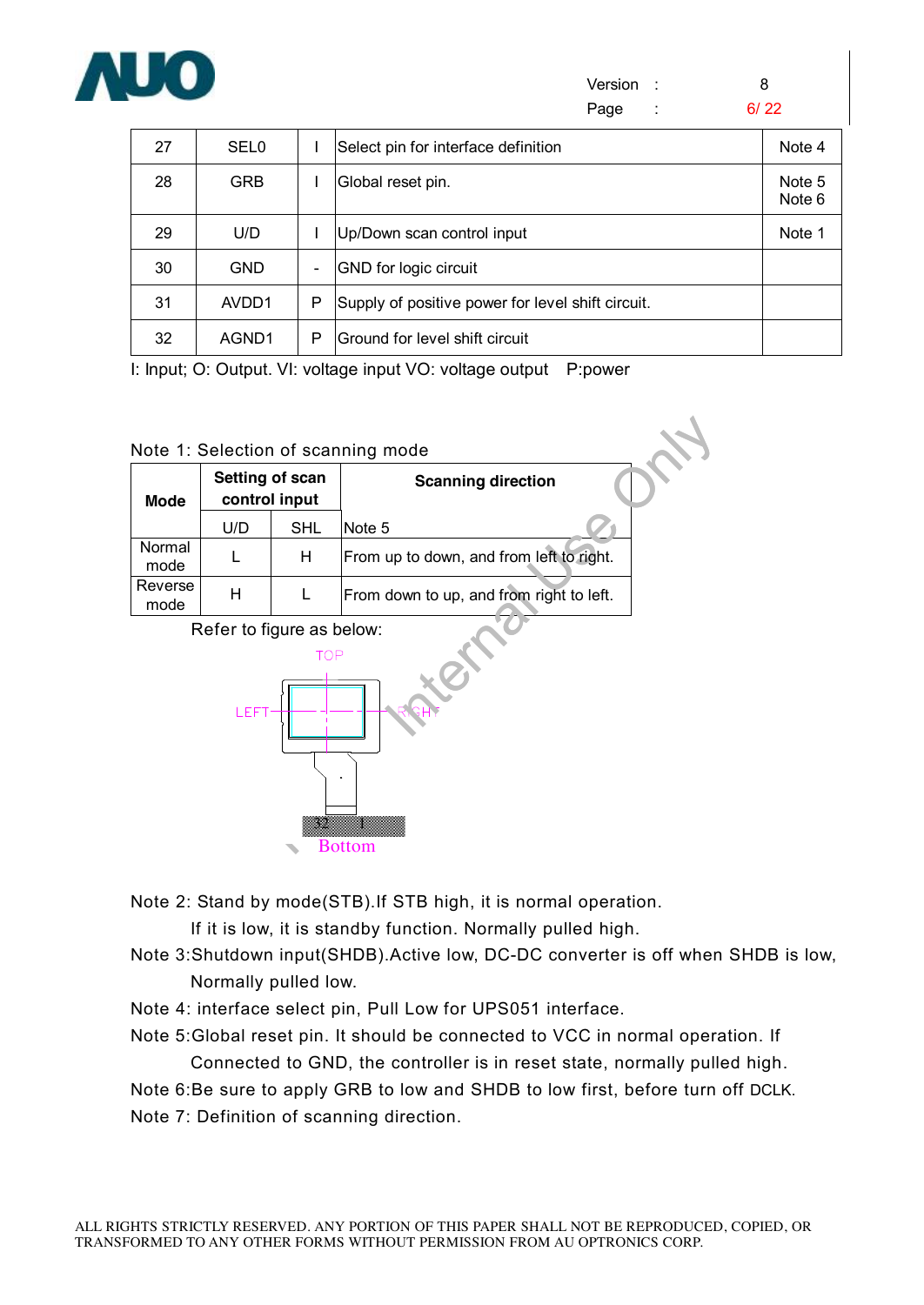

|    |                  |                                     | .<br>. . |                  |
|----|------------------|-------------------------------------|----------|------------------|
| 27 | SEL <sub>0</sub> | Select pin for interface definition |          | Note 4           |
| 28 | GRB              | Global reset pin.                   |          | Note 5<br>Note 6 |
| 29 | U/D              | Up/Down scan control input          |          | Note 1           |
| 30 | GND              | <b>GND</b> for logic circuit        |          |                  |

32 | AGND1 | P Ground for level shift circuit

I: Input; O: Output. VI: voltage input VO: voltage output P:power

31 | AVDD1 | P Supply of positive power for level shift circuit.

| <b>Mode</b>                                    | Setting of scan | control input | Note 1: Selection of scanning mode<br><b>Scanning direction</b> |  |  |  |  |  |
|------------------------------------------------|-----------------|---------------|-----------------------------------------------------------------|--|--|--|--|--|
|                                                | U/D             | <b>SHL</b>    | Note 5                                                          |  |  |  |  |  |
| Normal<br>mode                                 |                 | H             | From up to down, and from left to right.                        |  |  |  |  |  |
| Reverse<br>mode                                | H               | L             | From down to up, and from right to left.                        |  |  |  |  |  |
| Refer to figure as below:<br><b>TOP</b><br>LEF |                 |               |                                                                 |  |  |  |  |  |



Note 2: Stand by mode(STB).If STB high, it is normal operation.

If it is low, it is standby function. Normally pulled high.

- Note 3:Shutdown input(SHDB).Active low, DC-DC converter is off when SHDB is low, Normally pulled low.
- Note 4: interface select pin, Pull Low for UPS051 interface.
- Note 5:Global reset pin. It should be connected to VCC in normal operation. If Connected to GND, the controller is in reset state, normally pulled high. Note 6:Be sure to apply GRB to low and SHDB to low first, before turn off DCLK.

Note 7: Definition of scanning direction.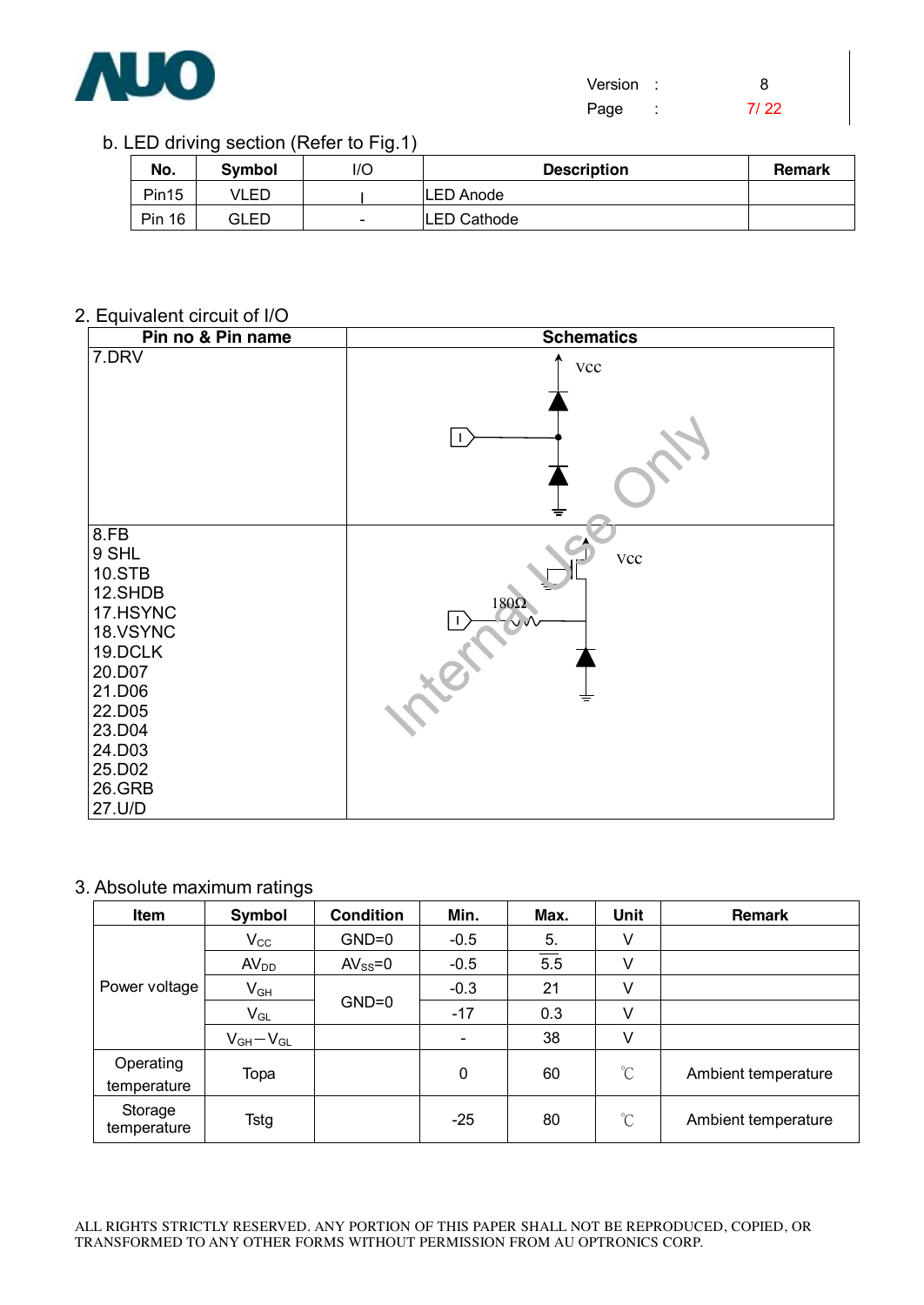

b. LED driving section (Refer to Fig.1)

| No.               | <b>Symbol</b> | l/C                      | <b>Description</b> | Remark |
|-------------------|---------------|--------------------------|--------------------|--------|
| Pin <sub>15</sub> | VLED          |                          | LED Anode          |        |
| 16<br>Pin         | GLED          | $\overline{\phantom{a}}$ | LED Cathode        |        |

2. Equivalent circuit of I/O

| Pin no & Pin name                                                                                                                                     | <b>Schematics</b>       |
|-------------------------------------------------------------------------------------------------------------------------------------------------------|-------------------------|
| 7.DRV                                                                                                                                                 | $\rm Vcc$               |
| 8.FB<br>9 SHL<br>10.STB<br>12.SHDB<br>17.HSYNC<br>18.VSYNC<br>19.DCLK<br>20.D07<br>21.D06<br>22.D05<br>23.D04<br>24.D03<br>25.D02<br>26.GRB<br>27.U/D | Vcc<br>$180\Omega$<br>≡ |

#### 3. Absolute maximum ratings

| Item                     | Symbol                                                      | <b>Condition</b> | Min.                         | Max.             | <b>Unit</b>     | Remark              |
|--------------------------|-------------------------------------------------------------|------------------|------------------------------|------------------|-----------------|---------------------|
|                          | $V_{\rm CC}$                                                | $GND=0$          | $-0.5$                       | 5.               | V               |                     |
|                          | AV <sub>DD</sub>                                            | $AV_{SS} = 0$    | $-0.5$                       | $\overline{5.5}$ | ٧               |                     |
| Power voltage            | $V_{GH}$                                                    |                  | $-0.3$                       | 21               | ٧               |                     |
|                          | $V_{GL}$                                                    | $GND=0$          | $-17$                        | 0.3              | ٧               |                     |
|                          | $\mathsf{V}_{\mathsf{GH}}\text{--}\mathsf{V}_{\mathsf{GL}}$ |                  | $\qquad \qquad \blacksquare$ | 38               | ٧               |                     |
| Operating<br>temperature | Topa                                                        |                  | 0                            | 60               | $\rm ^{\circ}C$ | Ambient temperature |
| Storage<br>temperature   | Tstg                                                        |                  | $-25$                        | 80               | $\rm ^{\circ}C$ | Ambient temperature |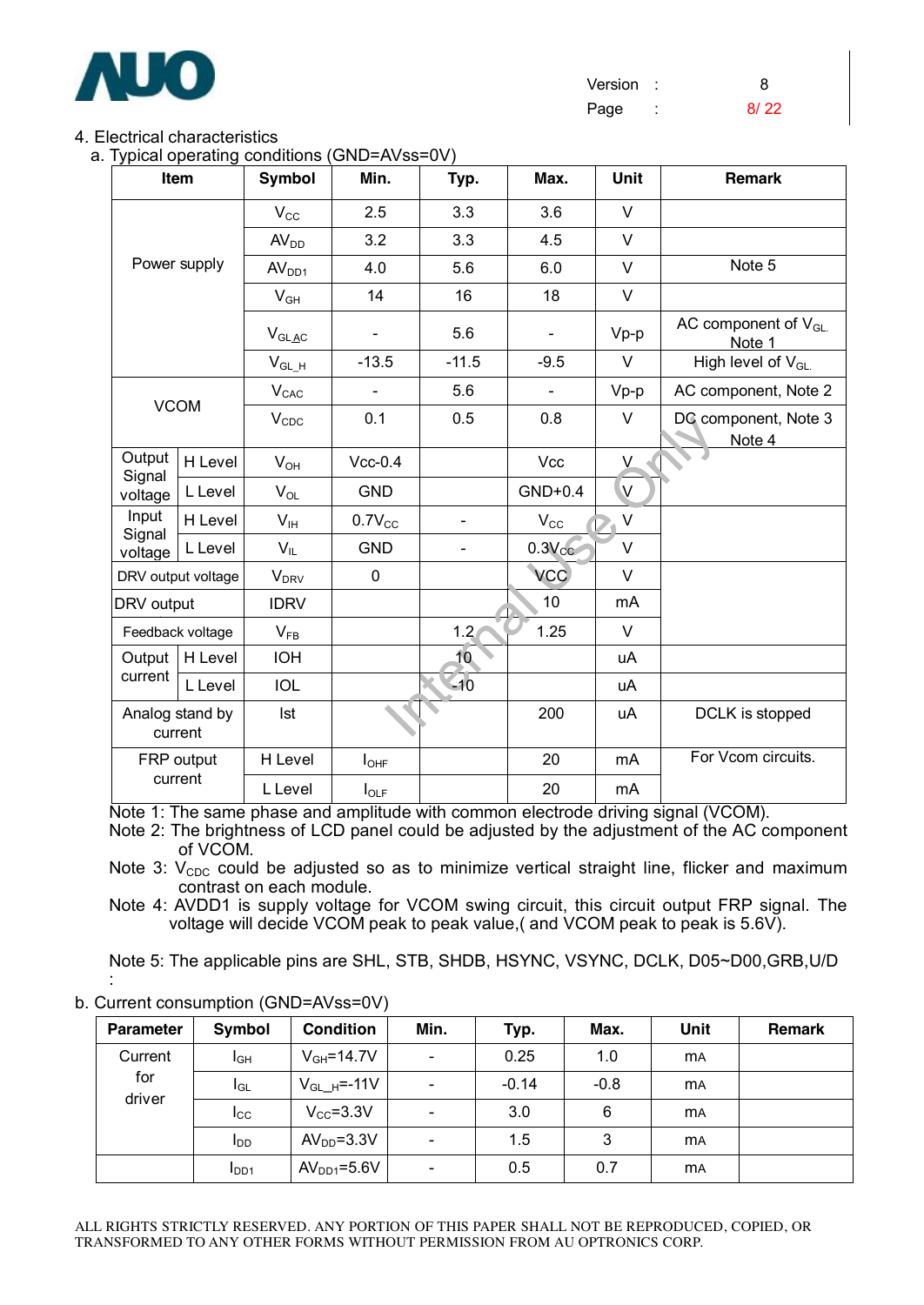

| Version |  | 8 |
|---------|--|---|
|---------|--|---|

Page : 8/ 22

4. Electrical characteristics

a. Typical operating conditions (GND=AVss=0V)

|                   | g givan oporamiy<br>Item   | <b>Symbol</b>          | Min.             | Typ.            | Max.                       | Unit         | Remark                                     |
|-------------------|----------------------------|------------------------|------------------|-----------------|----------------------------|--------------|--------------------------------------------|
|                   |                            | $V_{\rm CC}$           | 2.5              | 3.3             | 3.6                        | $\vee$       |                                            |
|                   |                            | AV <sub>DD</sub>       | 3.2              | 3.3             | 4.5                        | $\vee$       |                                            |
|                   | Power supply               | AV <sub>DD1</sub>      | 4.0              | 5.6             | 6.0                        | V            | Note 5                                     |
|                   |                            | $V_{GH}$               | 14               | 16              | 18                         | $\vee$       |                                            |
|                   |                            | $V_{GLAC}$             |                  | 5.6             | $\blacksquare$             | $Vp-p$       | AC component of V <sub>GL.</sub><br>Note 1 |
|                   |                            | $V_{GL_H}$             | $-13.5$          | $-11.5$         | $-9.5$                     | $\vee$       | High level of V <sub>GL.</sub>             |
|                   | <b>VCOM</b>                | V <sub>CAC</sub>       |                  | 5.6             |                            | $Vp-p$       | AC component, Note 2                       |
|                   |                            | $V_{CDC}$              | 0.1              | 0.5             | 0.8                        | $\vee$       | DC component, Note 3<br>Note 4             |
| Output            | H Level                    | $V_{OH}$               | $Vcc-0.4$        |                 | Vcc                        | $\vee$       |                                            |
| Signal<br>voltage | L Level                    | $V_{OL}$               | <b>GND</b>       |                 | $GND+0.4$                  | V            |                                            |
| Input             | H Level                    | $V_{\text{IH}}$        | $0.7V_{CC}$      |                 | $\mathsf{V}_{\mathsf{CC}}$ | $\mathsf{V}$ |                                            |
| Signal<br>voltage | L Level                    | $V_{IL}$               | <b>GND</b>       |                 | $0.3V_{CC}$                | $\vee$       |                                            |
|                   | DRV output voltage         | <b>V<sub>DRV</sub></b> | 0                |                 | <b>VCC</b>                 | $\vee$       |                                            |
| DRV output        |                            | <b>IDRV</b>            |                  |                 | 10                         | mA           |                                            |
|                   | Feedback voltage           | $V_{FB}$               |                  | 1.2             | 1.25                       | $\vee$       |                                            |
| Output            | H Level                    | <b>IOH</b>             |                  | 10 <sub>1</sub> |                            | uA           |                                            |
| current           | L Level                    | <b>IOL</b>             |                  | $-10$           |                            | uA           |                                            |
|                   | Analog stand by<br>current | Ist                    |                  |                 | 200                        | uA           | DCLK is stopped                            |
|                   | FRP output                 | H Level                | $I_{\text{OHF}}$ |                 | 20                         | mA           | For Vcom circuits.                         |
| current           |                            | L Level                | $I_{OLF}$        |                 | 20                         | mA           |                                            |

Note 1: The same phase and amplitude with common electrode driving signal (VCOM).

Note 2: The brightness of LCD panel could be adjusted by the adjustment of the AC component of VCOM.

Note 3:  $V_{\text{CDC}}$  could be adjusted so as to minimize vertical straight line, flicker and maximum contrast on each module.

Note 4: AVDD1 is supply voltage for VCOM swing circuit, this circuit output FRP signal. The voltage will decide VCOM peak to peak value,( and VCOM peak to peak is 5.6V).

Note 5: The applicable pins are SHL, STB, SHDB, HSYNC, VSYNC, DCLK, D05~D00,GRB,U/D :

b. Current consumption (GND=AVss=0V)

| <b>Parameter</b> | Symbol                 | <b>Condition</b>    | Min.                         | Typ.    | Max.   | <b>Unit</b> | <b>Remark</b> |
|------------------|------------------------|---------------------|------------------------------|---------|--------|-------------|---------------|
| Current          | $I_{GH}$               | $V_{GH} = 14.7V$    | $\equiv$                     | 0.25    | 1.0    | <b>MA</b>   |               |
| for              | I <sub>GL</sub>        | $V_{GL-H}$ =-11 $V$ | $\qquad \qquad \blacksquare$ | $-0.14$ | $-0.8$ | <b>MA</b>   |               |
| driver           | $I_{\rm CC}$           | $V_{CC} = 3.3V$     | $\blacksquare$               | 3.0     | 6      | <b>MA</b>   |               |
|                  | <b>I</b> <sub>DD</sub> | $AVDD=3.3V$         | $\qquad \qquad \blacksquare$ | 1.5     | 3      | <b>MA</b>   |               |
|                  | I <sub>DD1</sub>       | $AVDD1=5.6V$        | $\qquad \qquad \blacksquare$ | 0.5     | 0.7    | <b>MA</b>   |               |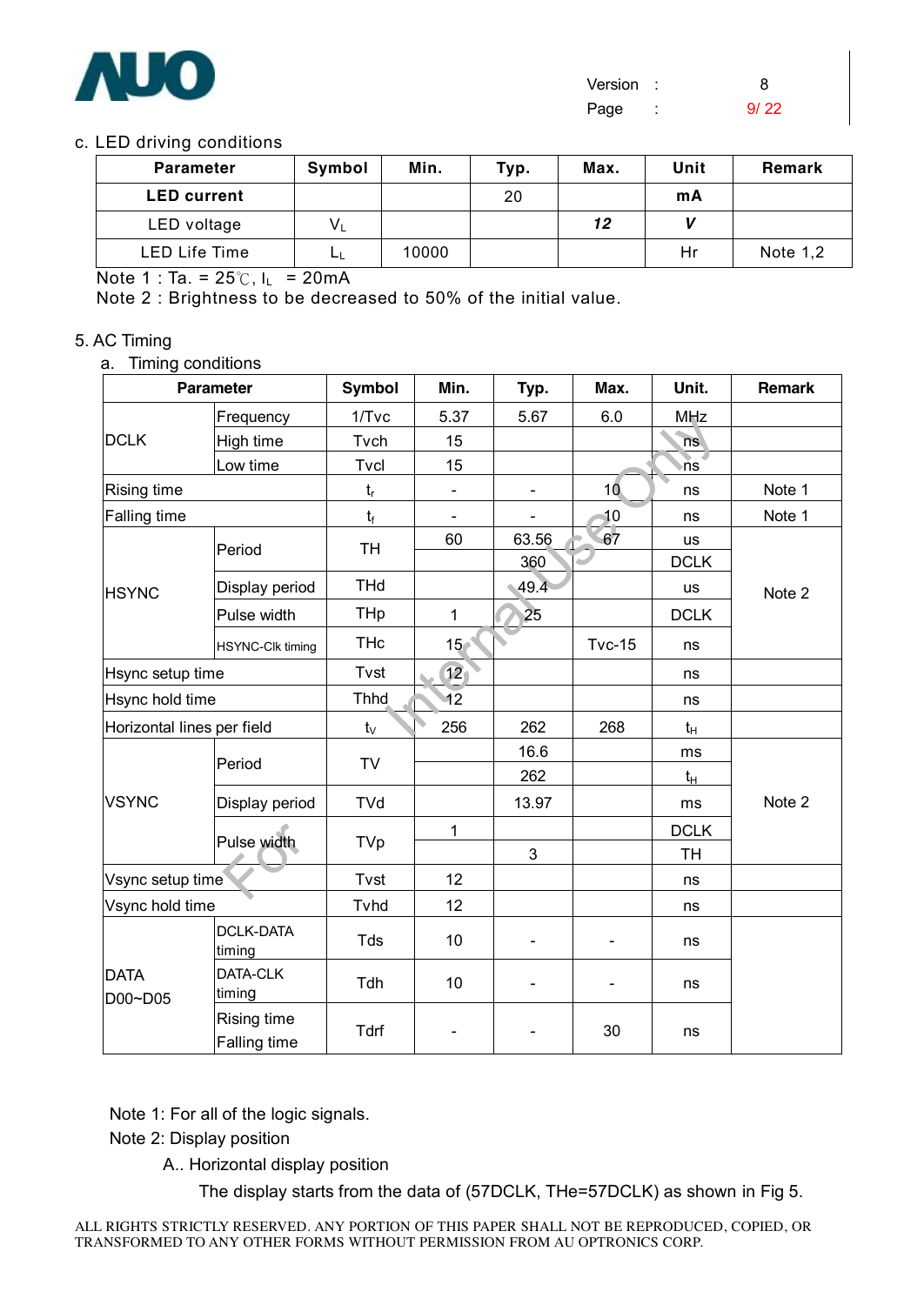

Page : 9/ 22

#### c. LED driving conditions

| <b>Parameter</b>     | Symbol | Min.  | Typ. | Max. | Unit | Remark     |
|----------------------|--------|-------|------|------|------|------------|
| <b>LED current</b>   |        |       | 20   |      | mA   |            |
| LED voltage          | V.     |       |      | 12   |      |            |
| <b>LED Life Time</b> |        | 10000 |      |      | Hr   | Note $1,2$ |

Note 1 : Ta. =  $25^\circ$ C, I<sub>L</sub> = 20mA

Note 2 : Brightness to be decreased to 50% of the initial value.

#### 5. AC Timing

a. Timing conditions

| <b>Parameter</b>           |                                    | <b>Symbol</b> | Min.            | Typ.  | Max.            | Unit.       | <b>Remark</b> |
|----------------------------|------------------------------------|---------------|-----------------|-------|-----------------|-------------|---------------|
|                            | Frequency                          | $1/T$ vc      | 5.37            | 5.67  | 6.0             | MHz         |               |
| <b>DCLK</b>                | High time                          | Tvch          | 15              |       |                 | ns          |               |
|                            | Low time                           | Tvcl          | 15              |       |                 | ⊧ñs         |               |
| <b>Rising time</b>         |                                    | $t_{\sf r}$   |                 |       | 10 <sup>1</sup> | ns          | Note 1        |
| <b>Falling time</b>        |                                    | $t_f$         |                 |       | $\overline{10}$ | ns          | Note 1        |
|                            | Period                             | <b>TH</b>     | 60              | 63.56 | 67              | <b>us</b>   |               |
|                            |                                    |               |                 | 360   |                 | <b>DCLK</b> |               |
| <b>HSYNC</b>               | Display period                     | <b>THd</b>    |                 | 49.4  |                 | <b>us</b>   | Note 2        |
|                            | Pulse width                        | THp           | 1               | 25    |                 | <b>DCLK</b> |               |
|                            | <b>HSYNC-Clk timing</b>            | <b>THc</b>    | 15 <sub>1</sub> |       | <b>Tvc-15</b>   | ns          |               |
| Hsync setup time           |                                    | Tvst          | 12 <sub>1</sub> |       |                 | ns          |               |
|                            | Hsync hold time                    |               | 12              |       |                 | ns          |               |
| Horizontal lines per field |                                    | $t_{\vee}$    | 256             | 262   | 268             | $t_H$       |               |
|                            |                                    | TV            |                 | 16.6  |                 | ms          |               |
|                            | Period                             |               |                 | 262   |                 | $t_{H}$     |               |
| <b>VSYNC</b>               | Display period                     | TVd           |                 | 13.97 |                 | ms          | Note 2        |
|                            |                                    |               | 1               |       |                 | <b>DCLK</b> |               |
|                            | Pulse width                        | TVp           |                 | 3     |                 | <b>TH</b>   |               |
| Vsync setup time           |                                    | Tvst          | 12              |       |                 | ns          |               |
|                            | Vsync hold time                    |               | 12              |       |                 | ns          |               |
|                            | <b>DCLK-DATA</b><br>timing         | Tds           | 10              |       |                 | ns          |               |
| <b>DATA</b><br>D00~D05     | DATA-CLK<br>timing                 | Tdh           | 10              |       |                 | ns          |               |
|                            | Rising time<br><b>Falling time</b> | Tdrf          | $\blacksquare$  |       | 30              | ns          |               |

Note 1: For all of the logic signals.

Note 2: Display position

A.. Horizontal display position

The display starts from the data of (57DCLK, THe=57DCLK) as shown in Fig 5.

ALL RIGHTS STRICTLY RESERVED. ANY PORTION OF THIS PAPER SHALL NOT BE REPRODUCED, COPIED, OR TRANSFORMED TO ANY OTHER FORMS WITHOUT PERMISSION FROM AU OPTRONICS CORP.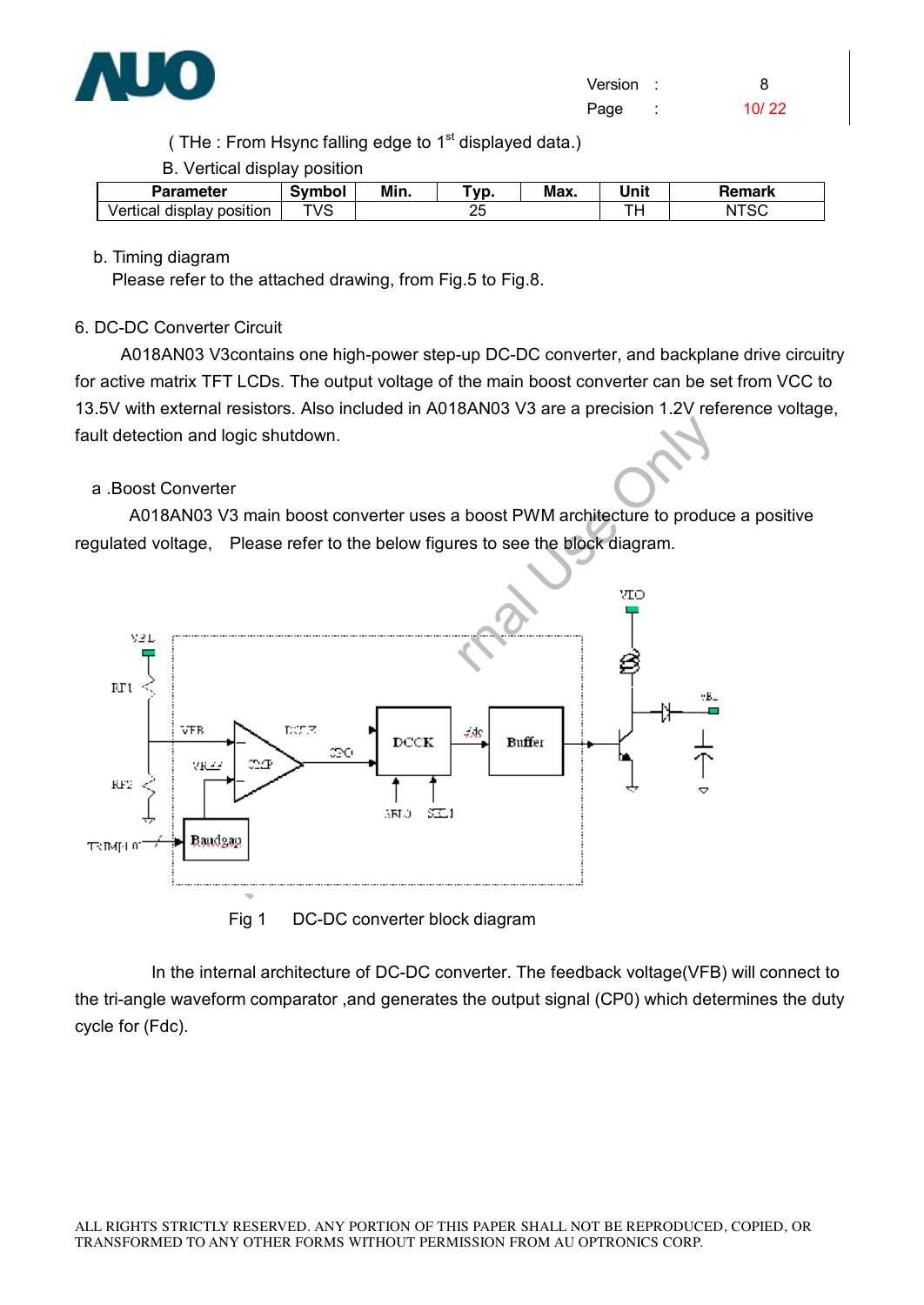

(THe : From Hsync falling edge to  $1<sup>st</sup>$  displayed data.)

B. Vertical display position

|                                              | . .    |      |                |      |      |        |
|----------------------------------------------|--------|------|----------------|------|------|--------|
| Parameter                                    | Symbol | Min. | yp.            | Max. | Unit | Remark |
| .<br>√ertica′<br>display<br>position<br>ucai | TVS    |      | ^-<br>∼∸<br>__ |      |      | NI     |

b. Timing diagram

Please refer to the attached drawing, from Fig.5 to Fig.8.

#### 6. DC-DC Converter Circuit

A018AN03 V3contains one high-power step-up DC-DC converter, and backplane drive circuitry for active matrix TFT LCDs. The output voltage of the main boost converter can be set from VCC to 13.5V with external resistors. Also included in A018AN03 V3 are a precision 1.2V reference voltage, fault detection and logic shutdown.

#### a .Boost Converter

A018AN03 V3 main boost converter uses a boost PWM architecture to produce a positive regulated voltage, Please refer to the below figures to see the block diagram.



In the internal architecture of DC-DC converter. The feedback voltage(VFB) will connect to the tri-angle waveform comparator ,and generates the output signal (CP0) which determines the duty cycle for (Fdc).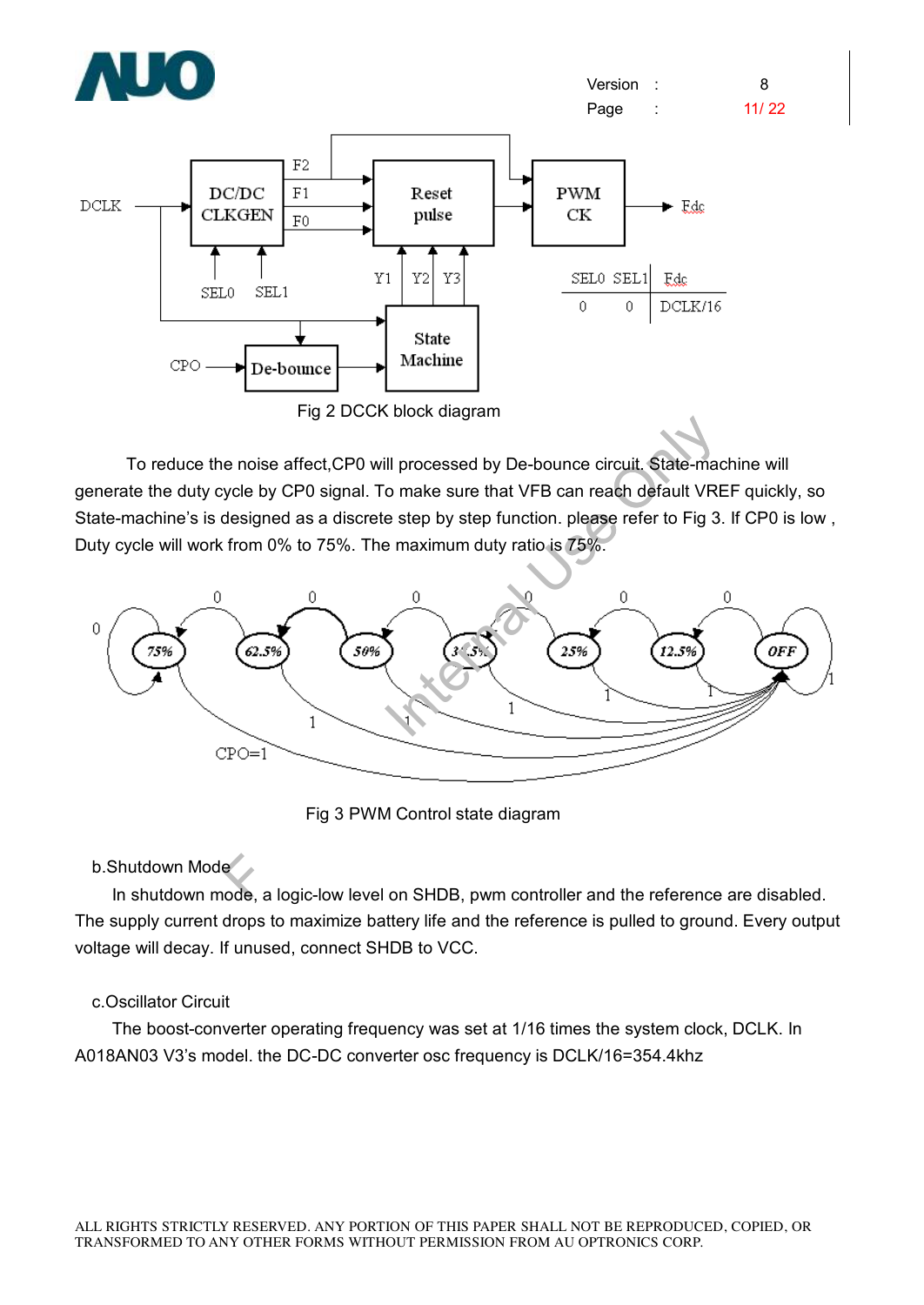



To reduce the noise affect,CP0 will processed by De-bounce circuit. State-machine will generate the duty cycle by CP0 signal. To make sure that VFB can reach default VREF quickly, so State-machine's is designed as a discrete step by step function. please refer to Fig 3. If CP0 is low , Duty cycle will work from 0% to 75%. The maximum duty ratio is 75%.



Fig 3 PWM Control state diagram

b.Shutdown Mode

Shutdown Mode<br>In shutdown mode, a logic-low level on SHDB, pwm controller and the reference are disabled. The supply current drops to maximize battery life and the reference is pulled to ground. Every output voltage will decay. If unused, connect SHDB to VCC.

#### c.Oscillator Circuit

The boost-converter operating frequency was set at 1/16 times the system clock, DCLK. In A018AN03 V3's model. the DC-DC converter osc frequency is DCLK/16=354.4khz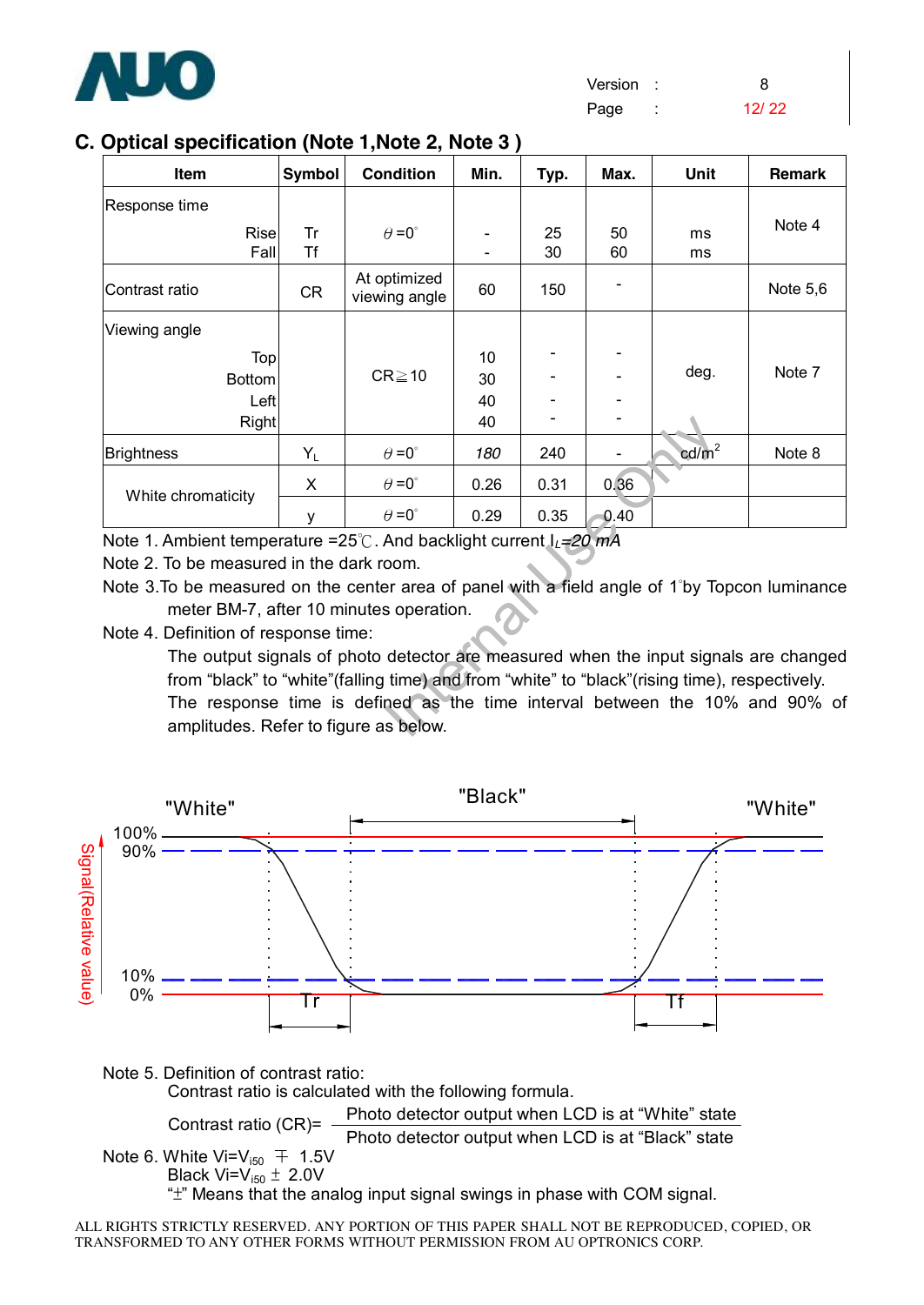

Page : 12/ 22

### **C. Optical specification (Note 1,Note 2, Note 3 )**

| Item                                                                                                        | Symbol          | <b>Condition</b>              | Min. | Typ.     | Max.     | Unit              | <b>Remark</b> |
|-------------------------------------------------------------------------------------------------------------|-----------------|-------------------------------|------|----------|----------|-------------------|---------------|
| Response time                                                                                               |                 |                               |      |          |          |                   |               |
| <b>Rise</b><br>Fall                                                                                         | Tr<br><b>Tf</b> | $\theta = 0^{\circ}$          |      | 25<br>30 | 50<br>60 | ms<br>ms          | Note 4        |
| Contrast ratio                                                                                              | CR              | At optimized<br>viewing angle | 60   | 150      |          |                   | Note $5,6$    |
| Viewing angle                                                                                               |                 |                               |      |          |          |                   |               |
| Top                                                                                                         |                 |                               | 10   |          |          |                   |               |
| <b>Bottom</b>                                                                                               |                 | $CR \ge 10$                   | 30   |          |          | deg.              | Note 7        |
| Left                                                                                                        |                 |                               | 40   |          |          |                   |               |
| Right                                                                                                       |                 |                               | 40   |          |          |                   |               |
| <b>Brightness</b>                                                                                           | $Y_L$           | $\theta = 0^{\circ}$          | 180  | 240      |          | cd/m <sup>2</sup> | Note 8        |
| White chromaticity                                                                                          | X               | $\theta = 0^{\circ}$          | 0.26 | 0.31     | 0.36     |                   |               |
|                                                                                                             | y               | $\theta = 0^{\circ}$          | 0.29 | 0.35     | 0.40     |                   |               |
| Note 1. Ambient temperature = $25^{\circ}$ . And backlight current $I_L = 20$ mA                            |                 |                               |      |          |          |                   |               |
| Note 2. To be measured in the dark room.                                                                    |                 |                               |      |          |          |                   |               |
| Note 3. To be measured on the center area of panel with a field angle of 1 <sup>°</sup> by Topcon luminance |                 |                               |      |          |          |                   |               |
| meter BM-7, after 10 minutes operation.                                                                     |                 |                               |      |          |          |                   |               |
| Note 4. Definition of response time:                                                                        |                 |                               |      |          |          |                   |               |
| The output signals of photo detector are measured when the input signals are changed                        |                 |                               |      |          |          |                   |               |
| from "black" to "white" (falling time) and from "white" to "black" (rising time), respectively.             |                 |                               |      |          |          |                   |               |
| The response time is defined as the time interval between the 10% and 90% of                                |                 |                               |      |          |          |                   |               |
| amplitudes. Refer to figure as below.                                                                       |                 |                               |      |          |          |                   |               |



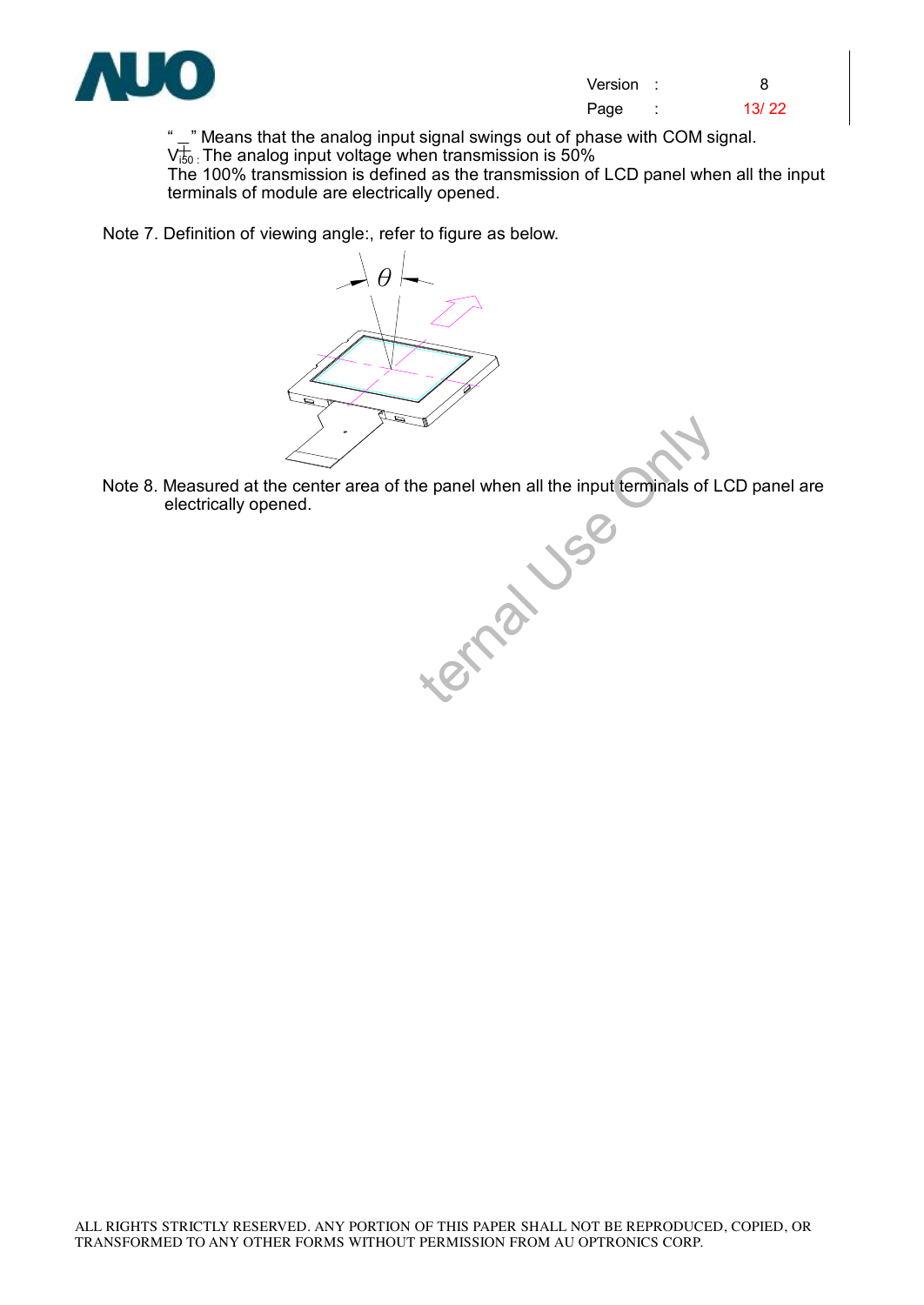

" $-$ " Means that the analog input signal swings out of phase with COM signal.  $\rm V_{150}^+$  The analog input voltage when transmission is 50%

The 100% transmission is defined as the transmission of LCD panel when all the input terminals of module are electrically opened.

Note 7. Definition of viewing angle:, refer to figure as below.

θ

ternal Use Note 8. Measured at the center area of the panel when all the input terminals of LCD panel are electrically opened.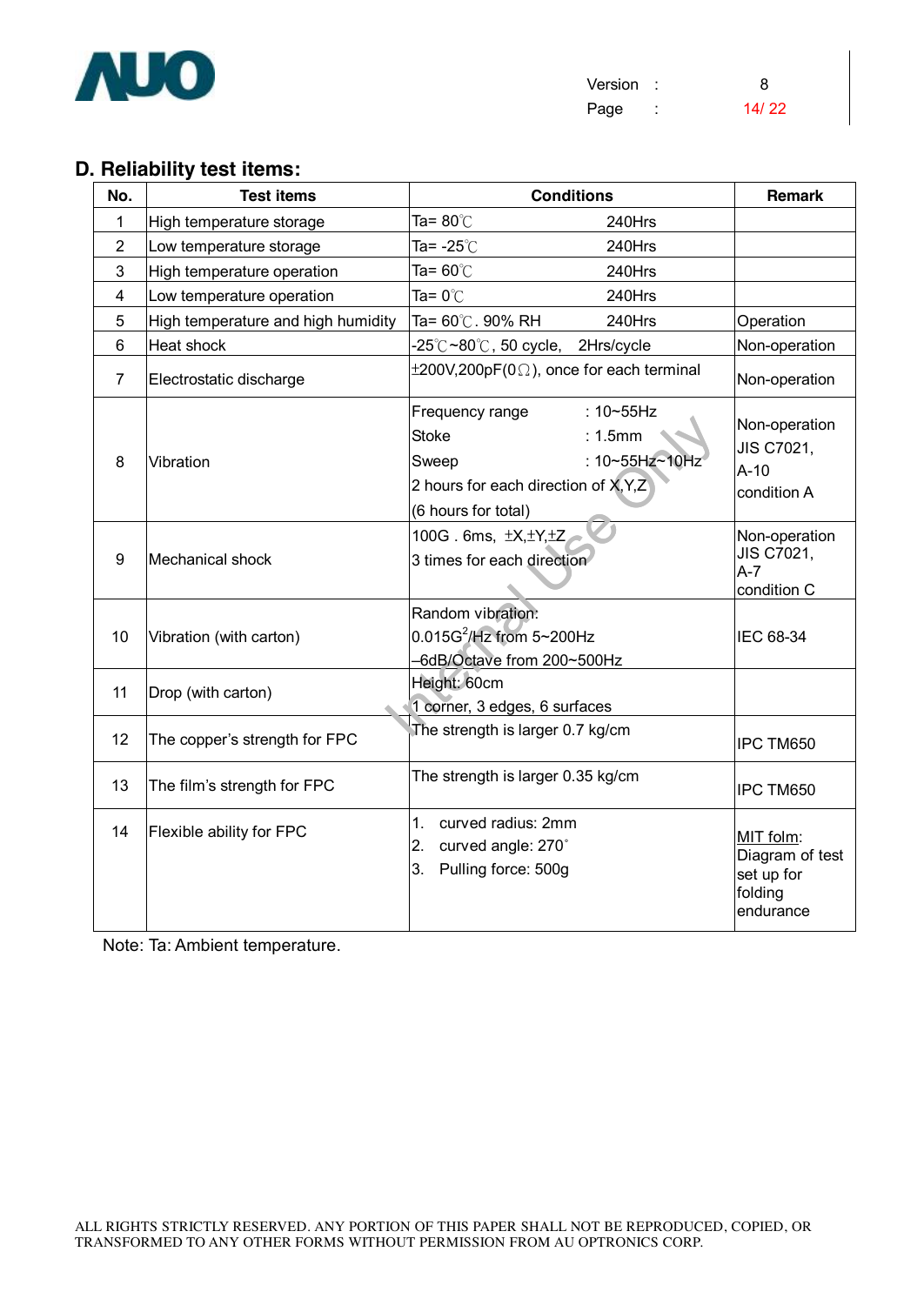

#### **D. Reliability test items:**

| No.                     | <b>Test items</b>                  | <b>Conditions</b>                                                                                                                                       | <b>Remark</b>                                                      |
|-------------------------|------------------------------------|---------------------------------------------------------------------------------------------------------------------------------------------------------|--------------------------------------------------------------------|
| 1                       | High temperature storage           | Ta= $80^{\circ}$ C<br>240Hrs                                                                                                                            |                                                                    |
| $\overline{2}$          | Low temperature storage            | Ta= -25℃<br>240Hrs                                                                                                                                      |                                                                    |
| 3                       | High temperature operation         | Ta= $60^{\circ}$ C<br>240Hrs                                                                                                                            |                                                                    |
| $\overline{\mathbf{4}}$ | Low temperature operation          | Ta= $0^{\circ}$ C<br>240Hrs                                                                                                                             |                                                                    |
| 5                       | High temperature and high humidity | Ta= 60℃. 90% RH<br>240Hrs                                                                                                                               | Operation                                                          |
| 6                       | <b>Heat shock</b>                  | -25℃~80℃, 50 cycle,<br>2Hrs/cycle                                                                                                                       | Non-operation                                                      |
| $\overline{7}$          | Electrostatic discharge            | $\pm 200V, 200pF(0\Omega)$ , once for each terminal                                                                                                     | Non-operation                                                      |
| 8                       | Vibration                          | : $10 - 55$ Hz<br>Frequency range<br>: 1.5mm<br><b>Stoke</b><br>: 10~55Hz~10Hz<br>Sweep<br>2 hours for each direction of X, Y, Z<br>(6 hours for total) | Non-operation<br>JIS C7021,<br>$A-10$<br>condition A               |
| 9                       | Mechanical shock                   | 100G. 6ms, ±X, ±Y, ±Z<br>3 times for each direction                                                                                                     | Non-operation<br>JIS C7021,<br>$A-7$<br>condition C                |
| 10                      | Vibration (with carton)            | Random vibration:<br>$0.015G^2$ /Hz from 5~200Hz<br>-6dB/Octave from 200~500Hz                                                                          | <b>IEC 68-34</b>                                                   |
| 11                      | Drop (with carton)                 | Height: 60cm<br>1 corner, 3 edges, 6 surfaces                                                                                                           |                                                                    |
| 12                      | The copper's strength for FPC      | The strength is larger 0.7 kg/cm                                                                                                                        | IPC TM650                                                          |
| 13                      | The film's strength for FPC        | The strength is larger 0.35 kg/cm                                                                                                                       | IPC TM650                                                          |
| 14                      | Flexible ability for FPC           | 1.<br>curved radius: 2mm<br>2.<br>curved angle: 270°<br>Pulling force: 500g<br>3.                                                                       | MIT folm:<br>Diagram of test<br>set up for<br>folding<br>endurance |

Note: Ta: Ambient temperature.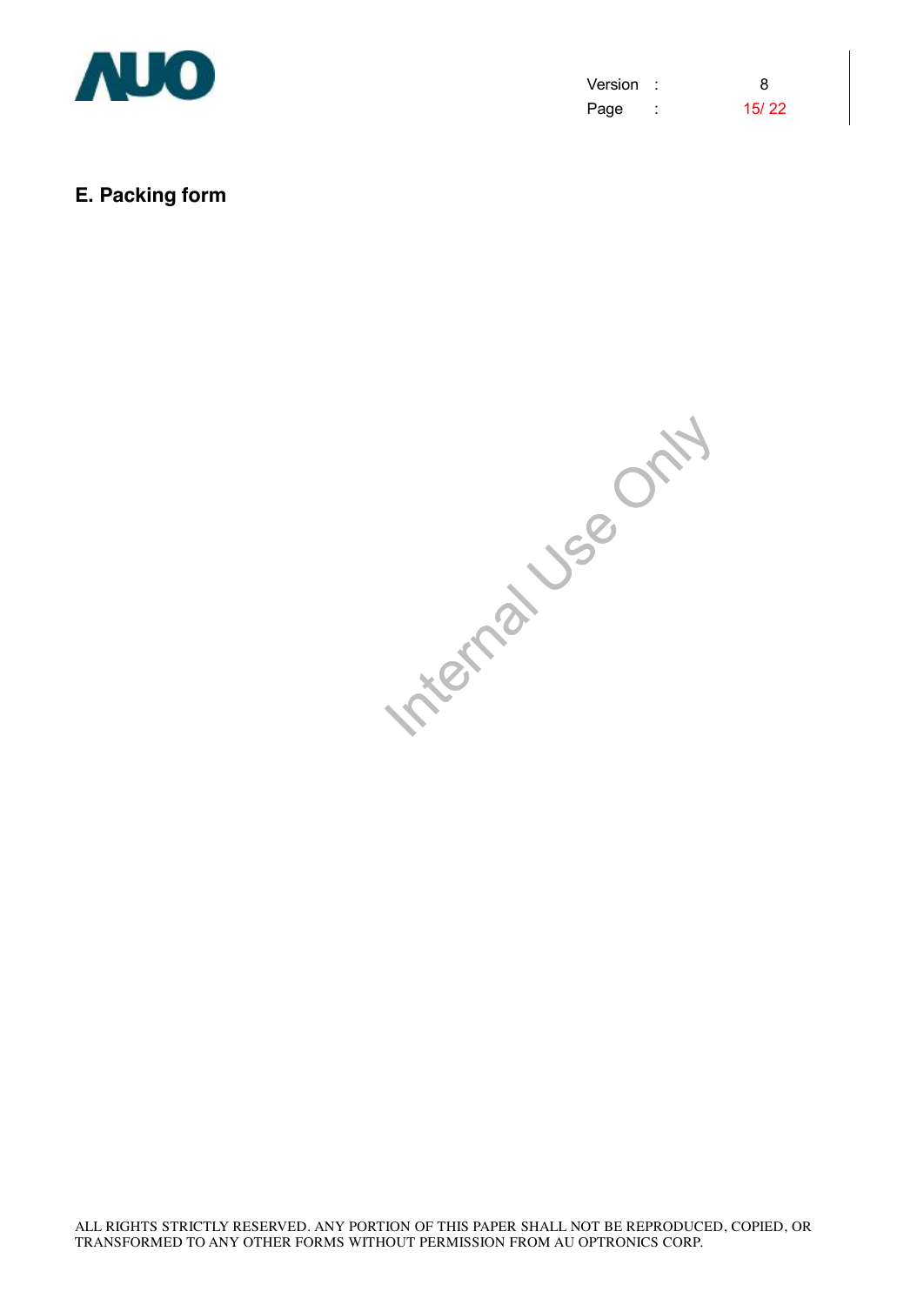

| Version |   | 8     |
|---------|---|-------|
| Page    | ٠ | 15/22 |

#### **E. Packing form**

Internal Use Only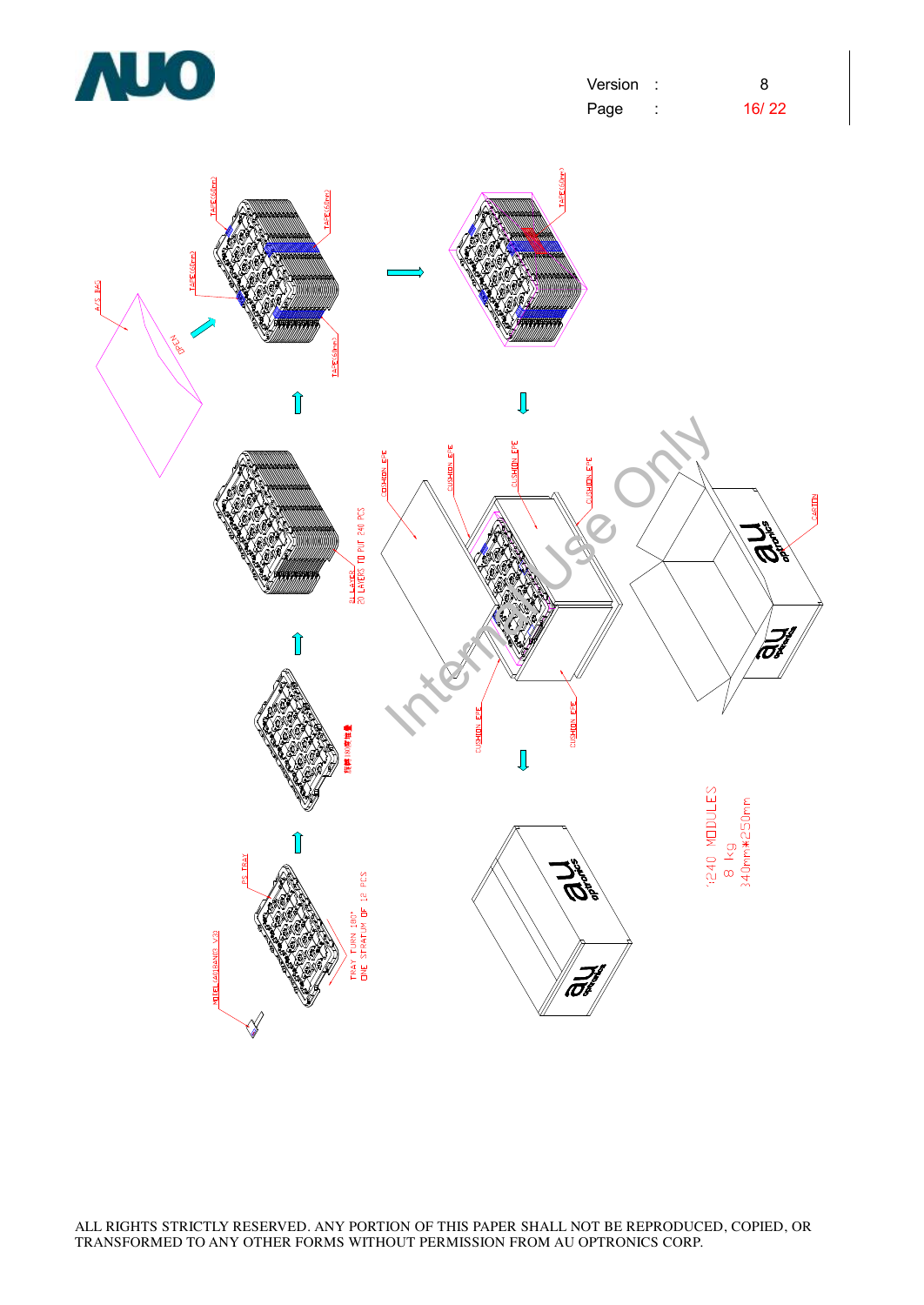

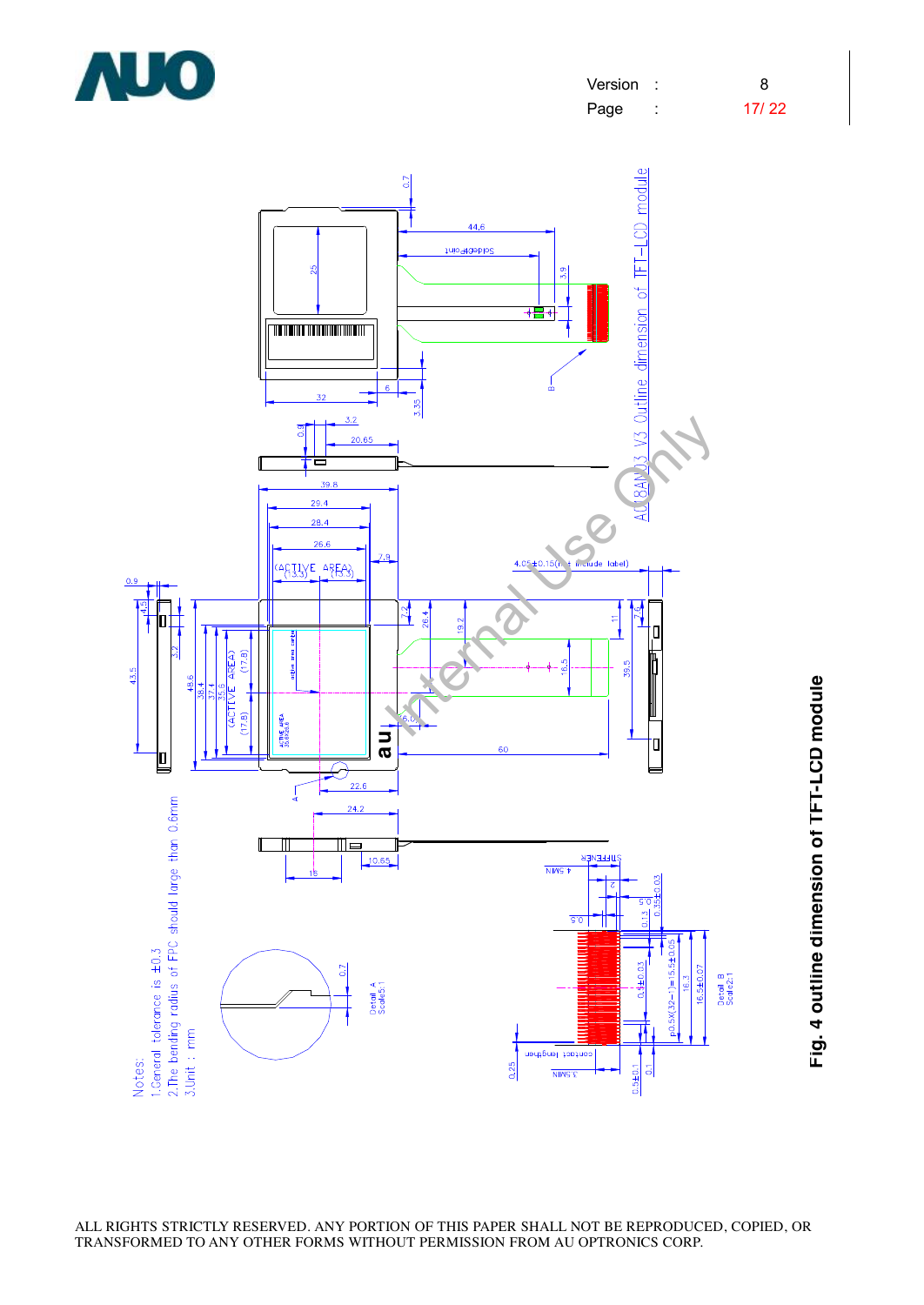

**Fig. 4 o utlin e dim e n sio n of T F T-L C D m o d ule**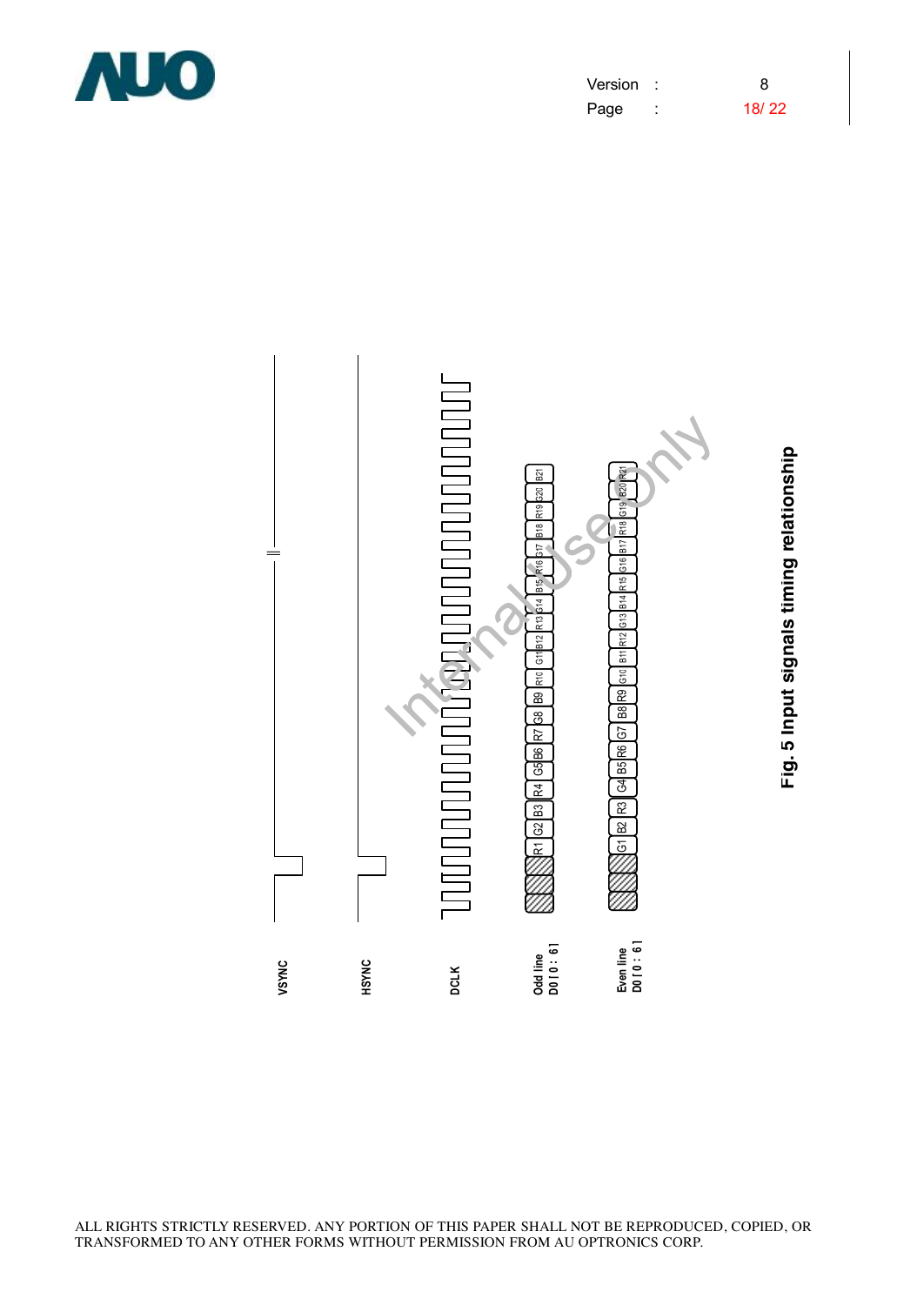

| Version | 8     |
|---------|-------|
| Page    | 18/22 |



ALL RIGHTS STRICTLY RESERVED. ANY PORTION OF THIS PAPER SHALL NOT BE REPRODUCED, COPIED, OR TRANSFORMED TO ANY OTHER FORMS WITHOUT PERMISSION FROM AU OPTRONICS CORP.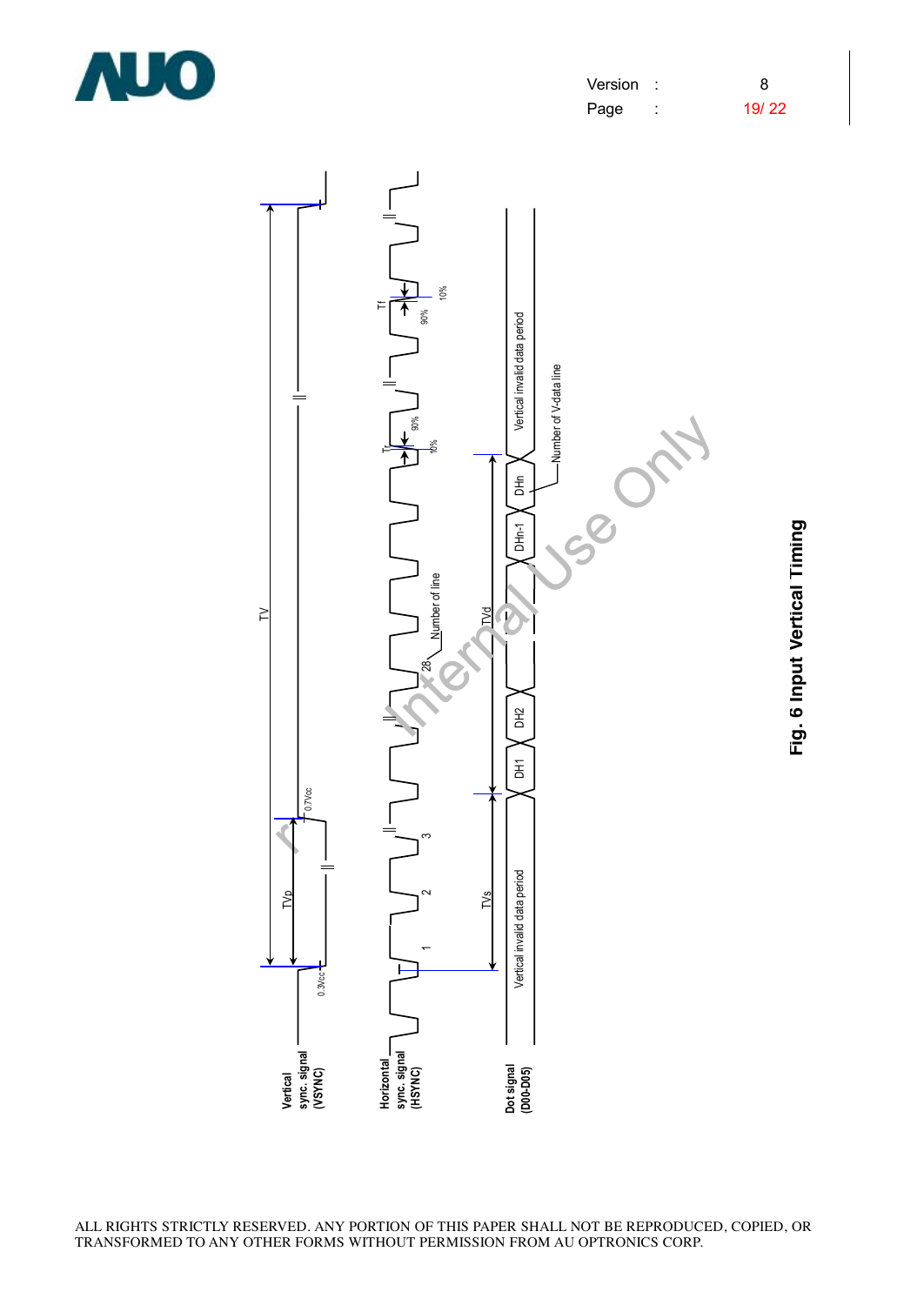

| Version | 8     |
|---------|-------|
| Page    | 19/22 |



**Fig. 6 In p ut Vertic al Timin g**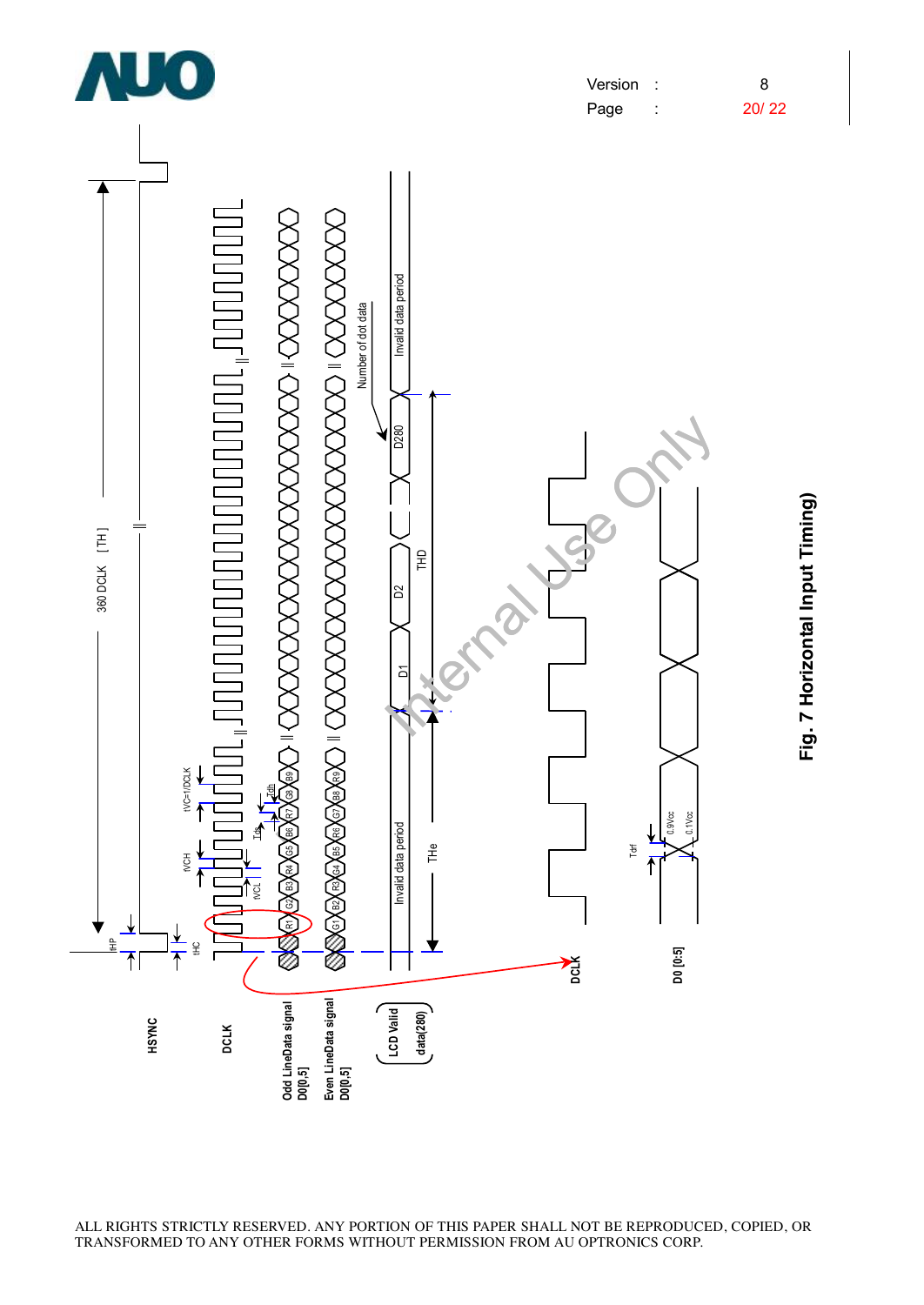





**Fig. 7 H oriz o ntal In p ut Timin g)**

ALL RIGHTS STRICTLY RESERVED. ANY PORTION OF THIS PAPER SHALL NOT BE REPRODUCED, COPIED, OR TRANSFORMED TO ANY OTHER FORMS WITHOUT PERMISSION FROM AU OPTRONICS CORP.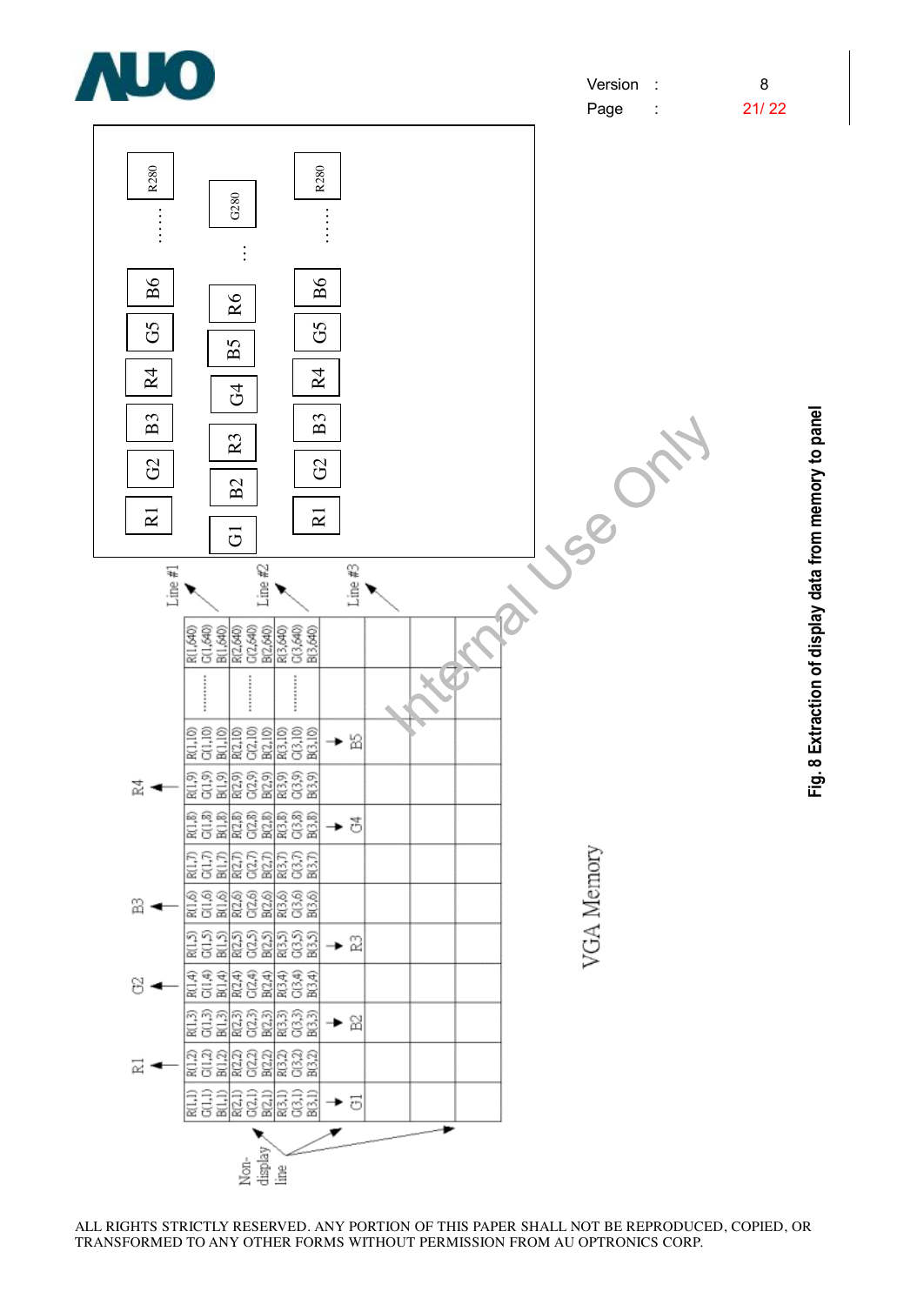

ALL RIGHTS STRICTLY RESERVED. ANY PORTION OF THIS PAPER SHALL NOT BE REPRODUCED, COPIED, OR TRANSFORMED TO ANY OTHER FORMS WITHOUT PERMISSION FROM AU OPTRONICS CORP.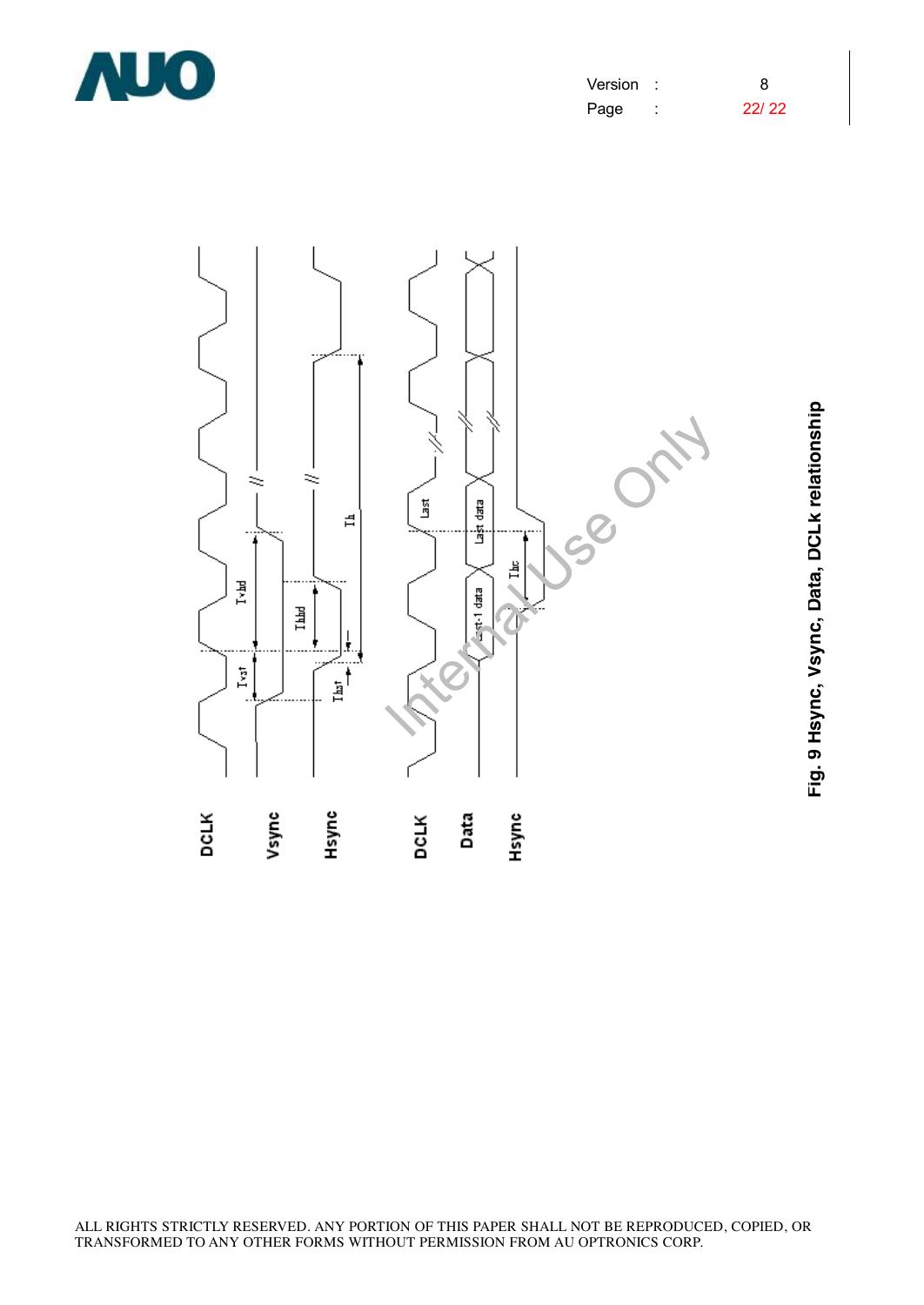

| Version | 8     |
|---------|-------|
| Page    | 22/22 |



**Fig. 9 H s y n c, V s y n c, D ata, D** <u>ب</u> **L k relatio n s hip**